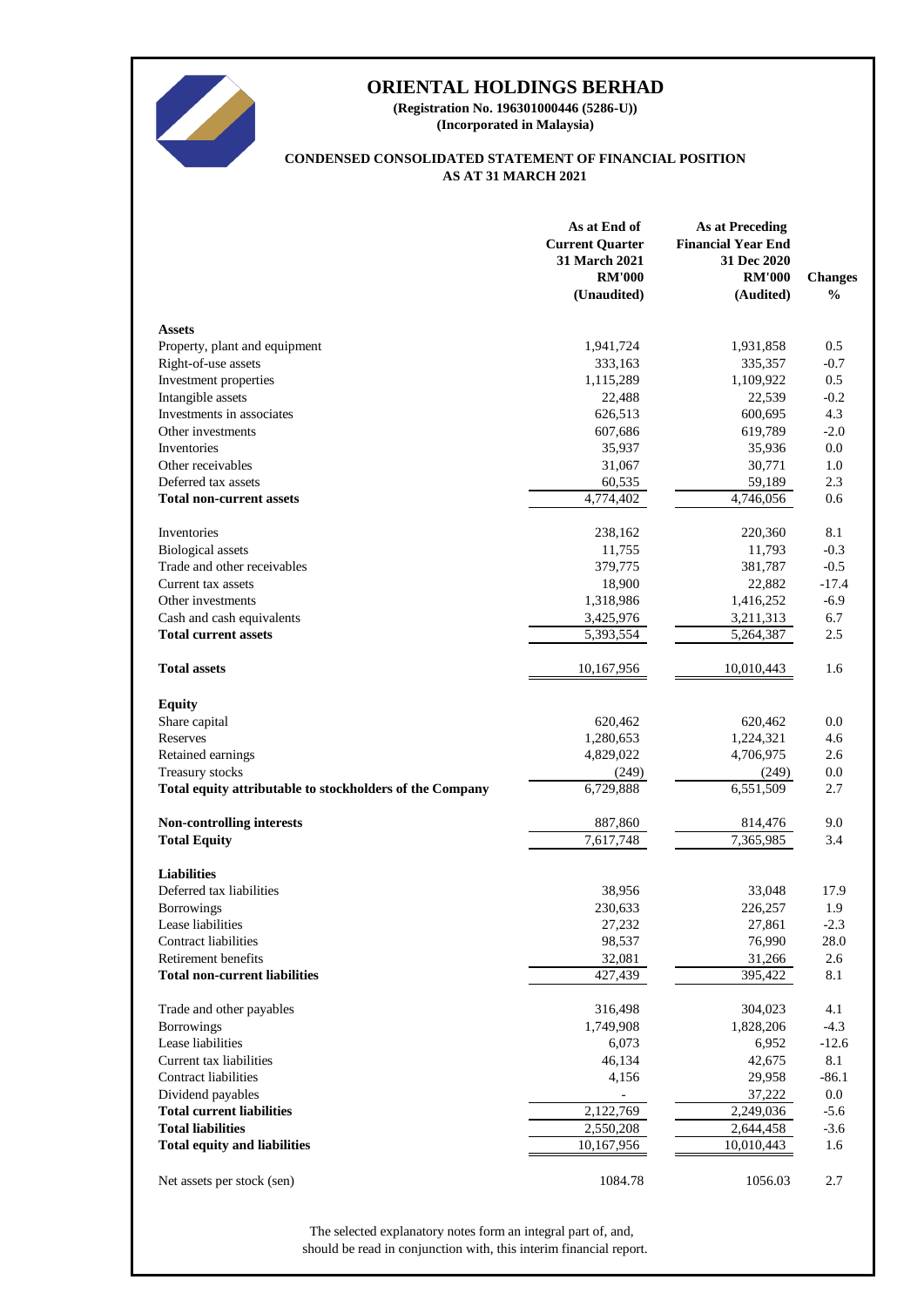

**(Incorporated in Malaysia) (Registration No. 196301000446 (5286-U))**

## **AS AT 31 MARCH 2021 CONDENSED CONSOLIDATED STATEMENT OF FINANCIAL POSITION**

|                                                          | As at End of<br><b>Current Quarter</b><br>31 March 2021<br><b>RM'000</b><br>(Unaudited) | <b>As at Preceding</b><br><b>Financial Year End</b><br>31 Dec 2020<br><b>RM'000</b><br>(Audited) | <b>Changes</b><br>$\frac{0}{0}$ |
|----------------------------------------------------------|-----------------------------------------------------------------------------------------|--------------------------------------------------------------------------------------------------|---------------------------------|
| <b>Assets</b>                                            |                                                                                         |                                                                                                  |                                 |
| Property, plant and equipment                            | 1,941,724                                                                               | 1,931,858                                                                                        | 0.5                             |
| Right-of-use assets                                      | 333,163                                                                                 | 335,357                                                                                          | $-0.7$                          |
| Investment properties                                    | 1,115,289                                                                               | 1,109,922                                                                                        | 0.5                             |
| Intangible assets                                        | 22,488                                                                                  | 22,539                                                                                           | $-0.2$                          |
| Investments in associates                                | 626,513                                                                                 | 600,695                                                                                          | 4.3                             |
| Other investments                                        | 607,686                                                                                 | 619,789                                                                                          | $-2.0$                          |
| Inventories                                              | 35,937                                                                                  | 35,936                                                                                           | 0.0                             |
| Other receivables                                        | 31,067                                                                                  | 30,771                                                                                           | 1.0                             |
| Deferred tax assets                                      | 60,535                                                                                  | 59,189                                                                                           | 2.3                             |
| <b>Total non-current assets</b>                          | 4,774,402                                                                               | 4,746,056                                                                                        | 0.6                             |
| Inventories                                              | 238,162                                                                                 | 220,360                                                                                          | 8.1                             |
| <b>Biological</b> assets                                 | 11,755                                                                                  | 11,793                                                                                           | $-0.3$                          |
| Trade and other receivables                              | 379,775                                                                                 | 381,787                                                                                          | $-0.5$                          |
| Current tax assets                                       | 18,900                                                                                  | 22,882                                                                                           | $-17.4$                         |
| Other investments                                        | 1,318,986                                                                               | 1,416,252                                                                                        | $-6.9$                          |
| Cash and cash equivalents                                | 3,425,976                                                                               | 3,211,313                                                                                        | 6.7                             |
| <b>Total current assets</b>                              | 5,393,554                                                                               | 5,264,387                                                                                        | 2.5                             |
| <b>Total assets</b>                                      | 10,167,956                                                                              | 10,010,443                                                                                       | 1.6                             |
| <b>Equity</b>                                            |                                                                                         |                                                                                                  |                                 |
| Share capital                                            | 620,462                                                                                 | 620,462                                                                                          | 0.0                             |
| Reserves                                                 | 1,280,653                                                                               | 1,224,321                                                                                        | 4.6                             |
| Retained earnings                                        | 4,829,022                                                                               | 4,706,975                                                                                        | 2.6                             |
| Treasury stocks                                          | (249)                                                                                   | (249)                                                                                            | 0.0                             |
| Total equity attributable to stockholders of the Company | 6,729,888                                                                               | 6,551,509                                                                                        | 2.7                             |
| Non-controlling interests                                | 887,860                                                                                 | 814,476                                                                                          | 9.0                             |
| <b>Total Equity</b>                                      | $\overline{7,617,748}$                                                                  | 7,365,985                                                                                        | 3.4                             |
| <b>Liabilities</b>                                       |                                                                                         |                                                                                                  |                                 |
| Deferred tax liabilities                                 | 38,956                                                                                  | 33,048                                                                                           | 17.9                            |
| <b>Borrowings</b>                                        | 230,633                                                                                 | 226,257                                                                                          | 1.9                             |
| Lease liabilities                                        | 27,232                                                                                  | 27,861                                                                                           | $-2.3$                          |
| <b>Contract liabilities</b>                              | 98,537                                                                                  | 76,990                                                                                           | 28.0                            |
| Retirement benefits                                      | 32,081                                                                                  | 31,266                                                                                           | 2.6                             |
| <b>Total non-current liabilities</b>                     | $\overline{427,439}$                                                                    | 395,422                                                                                          | 8.1                             |
| Trade and other payables                                 | 316,498                                                                                 | 304,023                                                                                          | 4.1                             |
| <b>Borrowings</b>                                        | 1,749,908                                                                               | 1,828,206                                                                                        | $-4.3$                          |
| Lease liabilities                                        | 6,073                                                                                   | 6,952                                                                                            | $-12.6$                         |
| Current tax liabilities                                  | 46,134                                                                                  | 42,675                                                                                           | 8.1                             |
| Contract liabilities                                     | 4,156                                                                                   | 29,958                                                                                           | $-86.1$                         |
| Dividend payables                                        |                                                                                         | 37,222                                                                                           | 0.0                             |
| <b>Total current liabilities</b>                         | 2,122,769                                                                               | 2,249,036                                                                                        | $-5.6$                          |
| <b>Total liabilities</b>                                 | 2,550,208                                                                               | 2,644,458                                                                                        | $-3.6$                          |
| <b>Total equity and liabilities</b>                      | 10,167,956                                                                              | 10,010,443                                                                                       | 1.6                             |
| Net assets per stock (sen)                               | 1084.78                                                                                 | 1056.03                                                                                          | $2.7\,$                         |

should be read in conjunction with, this interim financial report. The selected explanatory notes form an integral part of, and,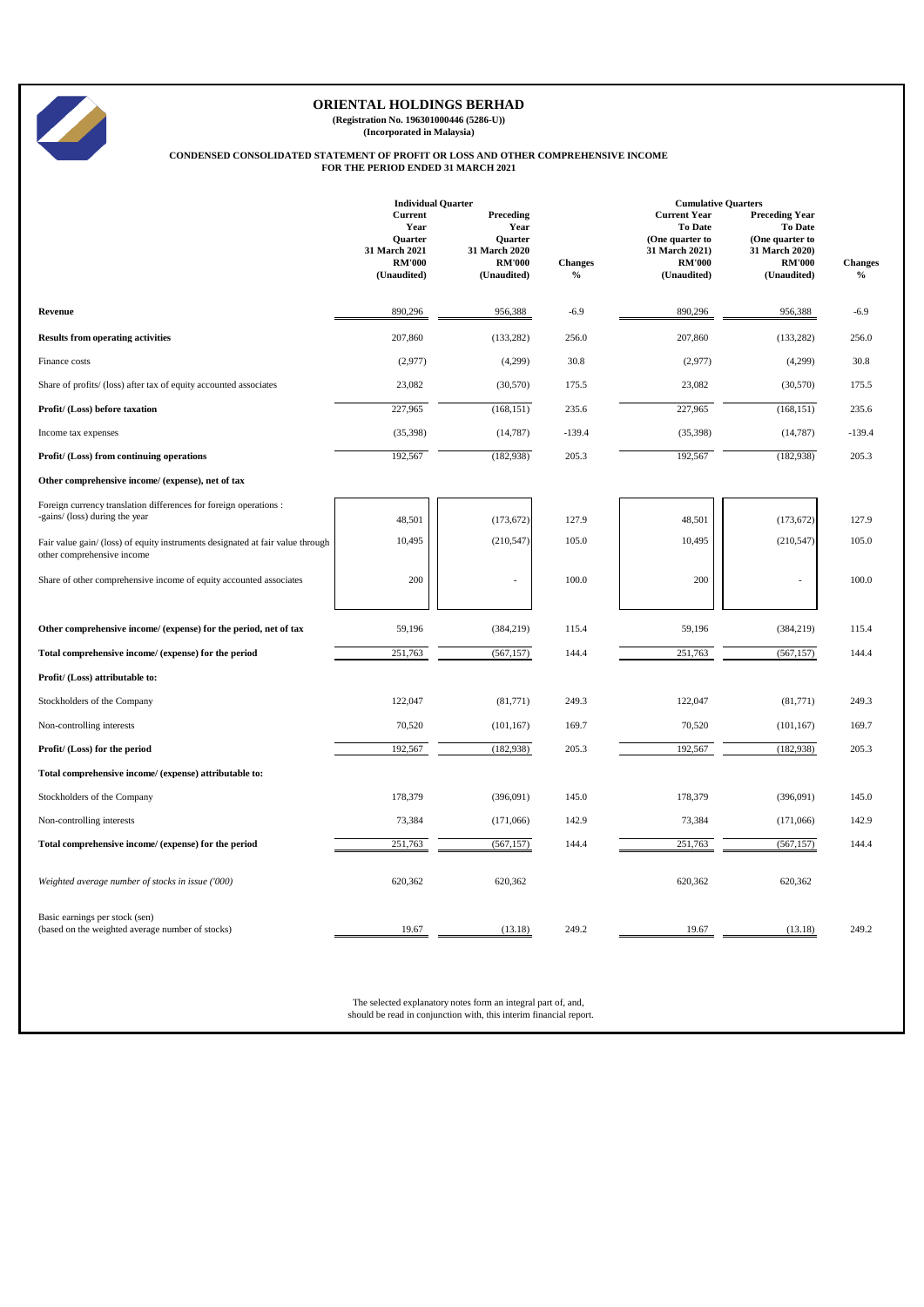

**(Registration No. 196301000446 (5286-U)) (Incorporated in Malaysia)**

# **CONDENSED CONSOLIDATED STATEMENT OF PROFIT OR LOSS AND OTHER COMPREHENSIVE INCOME FOR THE PERIOD ENDED 31 MARCH 2021**

|                                                                                                              | <b>Individual Quarter</b>                                                                 |                                                                               |                                 | <b>Cumulative Quarters</b>                                                                                 |                                                                                                              |                        |
|--------------------------------------------------------------------------------------------------------------|-------------------------------------------------------------------------------------------|-------------------------------------------------------------------------------|---------------------------------|------------------------------------------------------------------------------------------------------------|--------------------------------------------------------------------------------------------------------------|------------------------|
|                                                                                                              | <b>Current</b><br>Year<br><b>Ouarter</b><br>31 March 2021<br><b>RM'000</b><br>(Unaudited) | Preceding<br>Year<br>Quarter<br>31 March 2020<br><b>RM'000</b><br>(Unaudited) | <b>Changes</b><br>$\frac{0}{0}$ | <b>Current Year</b><br><b>To Date</b><br>(One quarter to<br>31 March 2021)<br><b>RM'000</b><br>(Unaudited) | <b>Preceding Year</b><br><b>To Date</b><br>(One quarter to<br>31 March 2020)<br><b>RM'000</b><br>(Unaudited) | <b>Changes</b><br>$\%$ |
| Revenue                                                                                                      | 890,296                                                                                   | 956,388                                                                       | $-6.9$                          | 890,296                                                                                                    | 956,388                                                                                                      | $-6.9$                 |
| <b>Results from operating activities</b>                                                                     | 207,860                                                                                   | (133, 282)                                                                    | 256.0                           | 207,860                                                                                                    | (133, 282)                                                                                                   | 256.0                  |
| Finance costs                                                                                                | (2,977)                                                                                   | (4,299)                                                                       | 30.8                            | (2,977)                                                                                                    | (4,299)                                                                                                      | 30.8                   |
| Share of profits/ (loss) after tax of equity accounted associates                                            | 23,082                                                                                    | (30, 570)                                                                     | 175.5                           | 23,082                                                                                                     | (30,570)                                                                                                     | 175.5                  |
| Profit/ (Loss) before taxation                                                                               | 227,965                                                                                   | (168, 151)                                                                    | 235.6                           | 227,965                                                                                                    | (168, 151)                                                                                                   | 235.6                  |
| Income tax expenses                                                                                          | (35, 398)                                                                                 | (14, 787)                                                                     | $-139.4$                        | (35,398)                                                                                                   | (14, 787)                                                                                                    | $-139.4$               |
| Profit/ (Loss) from continuing operations                                                                    | 192,567                                                                                   | (182, 938)                                                                    | 205.3                           | 192,567                                                                                                    | (182, 938)                                                                                                   | 205.3                  |
| Other comprehensive income/ (expense), net of tax                                                            |                                                                                           |                                                                               |                                 |                                                                                                            |                                                                                                              |                        |
| Foreign currency translation differences for foreign operations :<br>-gains/ (loss) during the year          | 48,501                                                                                    | (173, 672)                                                                    | 127.9                           | 48,501                                                                                                     | (173, 672)                                                                                                   | 127.9                  |
| Fair value gain/ (loss) of equity instruments designated at fair value through<br>other comprehensive income | 10,495                                                                                    | (210, 547)                                                                    | 105.0                           | 10,495                                                                                                     | (210, 547)                                                                                                   | 105.0                  |
| Share of other comprehensive income of equity accounted associates                                           | 200                                                                                       | ÷                                                                             | 100.0                           | 200                                                                                                        |                                                                                                              | 100.0                  |
| Other comprehensive income/ (expense) for the period, net of tax                                             | 59,196                                                                                    | (384, 219)                                                                    | 115.4                           | 59,196                                                                                                     | (384, 219)                                                                                                   | 115.4                  |
| Total comprehensive income/ (expense) for the period                                                         | 251,763                                                                                   | (567, 157)                                                                    | 144.4                           | 251,763                                                                                                    | (567, 157)                                                                                                   | 144.4                  |
| Profit/ (Loss) attributable to:                                                                              |                                                                                           |                                                                               |                                 |                                                                                                            |                                                                                                              |                        |
| Stockholders of the Company                                                                                  | 122,047                                                                                   | (81,771)                                                                      | 249.3                           | 122,047                                                                                                    | (81,771)                                                                                                     | 249.3                  |
| Non-controlling interests                                                                                    | 70,520                                                                                    | (101, 167)                                                                    | 169.7                           | 70,520                                                                                                     | (101, 167)                                                                                                   | 169.7                  |
| Profit/ (Loss) for the period                                                                                | 192,567                                                                                   | (182, 938)                                                                    | 205.3                           | 192,567                                                                                                    | (182, 938)                                                                                                   | 205.3                  |
| Total comprehensive income/ (expense) attributable to:                                                       |                                                                                           |                                                                               |                                 |                                                                                                            |                                                                                                              |                        |
| Stockholders of the Company                                                                                  | 178,379                                                                                   | (396,091)                                                                     | 145.0                           | 178,379                                                                                                    | (396,091)                                                                                                    | 145.0                  |
| Non-controlling interests                                                                                    | 73,384                                                                                    | (171,066)                                                                     | 142.9                           | 73,384                                                                                                     | (171,066)                                                                                                    | 142.9                  |
| Total comprehensive income/ (expense) for the period                                                         | 251,763                                                                                   | (567, 157)                                                                    | 144.4                           | 251,763                                                                                                    | (567, 157)                                                                                                   | 144.4                  |
| Weighted average number of stocks in issue ('000)                                                            | 620,362                                                                                   | 620,362                                                                       |                                 | 620,362                                                                                                    | 620,362                                                                                                      |                        |
| Basic earnings per stock (sen)<br>(based on the weighted average number of stocks)                           | 19.67                                                                                     | (13.18)                                                                       | 249.2                           | 19.67                                                                                                      | (13.18)                                                                                                      | 249.2                  |

The selected explanatory notes form an integral part of, and, should be read in conjunction with, this interim financial report.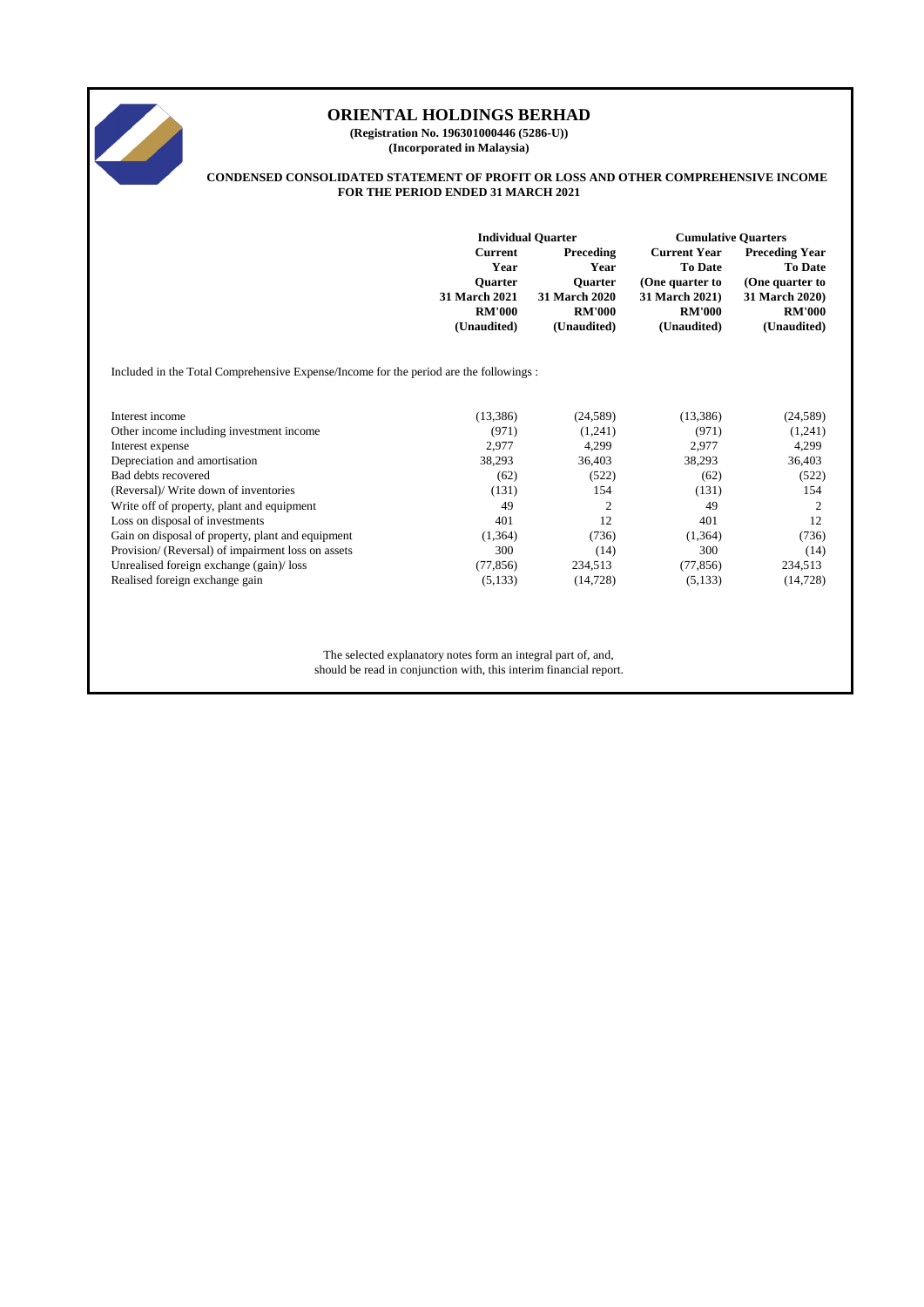

**(Registration No. 196301000446 (5286-U)) (Incorporated in Malaysia)**

#### **CONDENSED CONSOLIDATED STATEMENT OF PROFIT OR LOSS AND OTHER COMPREHENSIVE INCOME FOR THE PERIOD ENDED 31 MARCH 2021**

|                                                                                        | <b>Individual Quarter</b>                |                                     | <b>Cumulative Quarters</b>                               |                                                            |  |
|----------------------------------------------------------------------------------------|------------------------------------------|-------------------------------------|----------------------------------------------------------|------------------------------------------------------------|--|
|                                                                                        | <b>Current</b><br>Year<br><b>Ouarter</b> | Preceding<br>Year<br><b>Ouarter</b> | <b>Current Year</b><br><b>To Date</b><br>(One quarter to | <b>Preceding Year</b><br><b>To Date</b><br>(One quarter to |  |
|                                                                                        | <b>31 March 2021</b>                     | <b>31 March 2020</b>                | 31 March 2021)                                           | 31 March 2020)                                             |  |
|                                                                                        | <b>RM'000</b><br>(Unaudited)             | <b>RM'000</b><br>(Unaudited)        | <b>RM'000</b><br>(Unaudited)                             | <b>RM'000</b><br>(Unaudited)                               |  |
| Included in the Total Comprehensive Expense/Income for the period are the followings : |                                          |                                     |                                                          |                                                            |  |
|                                                                                        |                                          |                                     |                                                          |                                                            |  |
| Interest income                                                                        | (13,386)                                 | (24, 589)                           | (13,386)                                                 | (24, 589)                                                  |  |
| Other income including investment income                                               | (971)                                    | (1,241)                             | (971)                                                    | (1,241)                                                    |  |
| Interest expense                                                                       | 2,977                                    | 4,299                               | 2,977                                                    | 4,299                                                      |  |
| Depreciation and amortisation                                                          | 38,293                                   | 36,403                              | 38,293                                                   | 36,403                                                     |  |
| Bad debts recovered                                                                    | (62)                                     | (522)                               | (62)                                                     | (522)                                                      |  |
| (Reversal)/ Write down of inventories                                                  | (131)                                    | 154                                 | (131)                                                    | 154                                                        |  |
| Write off of property, plant and equipment                                             | 49                                       | 2                                   | 49                                                       | 2                                                          |  |
| Loss on disposal of investments                                                        | 401                                      | 12                                  | 401                                                      | 12                                                         |  |
| Gain on disposal of property, plant and equipment                                      | (1,364)                                  | (736)                               | (1,364)                                                  | (736)                                                      |  |
| Provision/ (Reversal) of impairment loss on assets                                     | 300                                      | (14)                                | 300                                                      | (14)                                                       |  |
| Unrealised foreign exchange (gain)/loss                                                | (77, 856)                                | 234,513                             | (77, 856)                                                | 234,513                                                    |  |
| Realised foreign exchange gain                                                         | (5,133)                                  | (14, 728)                           | (5,133)                                                  | (14, 728)                                                  |  |

The selected explanatory notes form an integral part of, and, should be read in conjunction with, this interim financial report.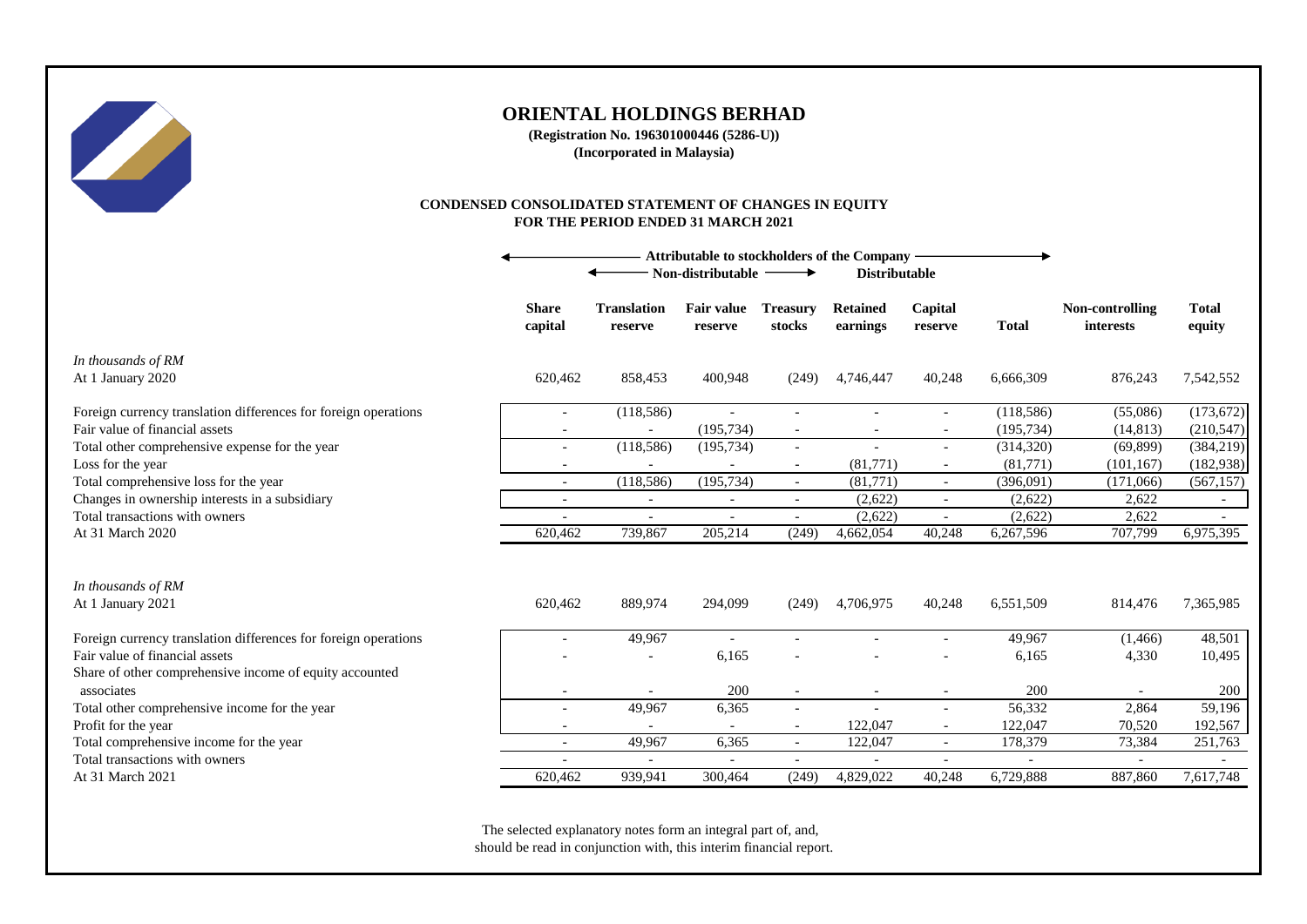

**(Registration No. 196301000446 (5286-U)) (Incorporated in Malaysia)**

#### **CONDENSED CONSOLIDATED STATEMENT OF CHANGES IN EQUITY FOR THE PERIOD ENDED 31 MARCH 2021**

|                                                                                           | Attributable to stockholders of the Company<br>Non-distributable $-$<br><b>Distributable</b><br>$\rightarrow$ |                               |                              |                           |                             |                          |                          |                              |                        |
|-------------------------------------------------------------------------------------------|---------------------------------------------------------------------------------------------------------------|-------------------------------|------------------------------|---------------------------|-----------------------------|--------------------------|--------------------------|------------------------------|------------------------|
|                                                                                           | <b>Share</b><br>capital                                                                                       | <b>Translation</b><br>reserve | <b>Fair value</b><br>reserve | <b>Treasury</b><br>stocks | <b>Retained</b><br>earnings | Capital<br>reserve       | <b>Total</b>             | Non-controlling<br>interests | <b>Total</b><br>equity |
| In thousands of RM<br>At 1 January 2020                                                   | 620,462                                                                                                       | 858,453                       | 400,948                      | (249)                     | 4,746,447                   | 40,248                   | 6,666,309                | 876,243                      | 7,542,552              |
| Foreign currency translation differences for foreign operations                           | $\overline{\phantom{a}}$                                                                                      | (118,586)                     | $\overline{\phantom{a}}$     | $\overline{\phantom{a}}$  | $\overline{\phantom{a}}$    | $\overline{\phantom{a}}$ | (118, 586)               | (55,086)                     | (173, 672)             |
| Fair value of financial assets                                                            |                                                                                                               |                               | (195, 734)                   | $\overline{\phantom{a}}$  |                             |                          | (195, 734)               | (14, 813)                    | (210, 547)             |
| Total other comprehensive expense for the year                                            | $\overline{a}$                                                                                                | (118,586)                     | (195, 734)                   | $\overline{\phantom{a}}$  | $\sim$                      | $\overline{\phantom{a}}$ | (314, 320)               | (69, 899)                    | (384, 219)             |
| Loss for the year                                                                         |                                                                                                               |                               |                              | $\overline{\phantom{a}}$  | (81,771)                    |                          | (81,771)                 | (101, 167)                   | (182, 938)             |
| Total comprehensive loss for the year                                                     | $\overline{\phantom{0}}$                                                                                      | (118, 586)                    | (195, 734)                   | $\overline{\phantom{a}}$  | (81,771)                    |                          | (396,091)                | (171,066)                    | (567, 157)             |
| Changes in ownership interests in a subsidiary                                            |                                                                                                               | $\overline{\phantom{a}}$      |                              | $\overline{\phantom{a}}$  | (2,622)                     |                          | (2,622)                  | 2,622                        | $\sim$                 |
| Total transactions with owners                                                            |                                                                                                               |                               |                              | $\overline{\phantom{a}}$  | (2,622)                     |                          | (2,622)                  | 2,622                        |                        |
| At 31 March 2020                                                                          | 620,462                                                                                                       | 739,867                       | 205,214                      | (249)                     | 4,662,054                   | 40,248                   | 6,267,596                | 707,799                      | 6,975,395              |
| In thousands of RM<br>At 1 January 2021                                                   | 620,462                                                                                                       | 889,974                       | 294,099                      | (249)                     | 4,706,975                   | 40,248                   | 6,551,509                | 814,476                      | 7,365,985              |
| Foreign currency translation differences for foreign operations                           |                                                                                                               | 49,967                        | $\sim$                       |                           |                             |                          | 49,967                   | (1, 466)                     | 48,501                 |
| Fair value of financial assets<br>Share of other comprehensive income of equity accounted |                                                                                                               |                               | 6,165                        |                           |                             |                          | 6,165                    | 4,330                        | 10,495                 |
| associates                                                                                |                                                                                                               |                               | 200                          | $\overline{\phantom{a}}$  |                             |                          | 200                      |                              | 200                    |
| Total other comprehensive income for the year                                             |                                                                                                               | 49,967                        | 6,365                        | $\overline{\phantom{a}}$  |                             |                          | 56,332                   | 2,864                        | 59,196                 |
| Profit for the year                                                                       | $\overline{\phantom{a}}$                                                                                      |                               |                              | $\overline{\phantom{a}}$  | 122,047                     |                          | 122,047                  | 70,520                       | 192,567                |
| Total comprehensive income for the year                                                   |                                                                                                               | 49,967                        | 6,365                        | $\overline{\phantom{a}}$  | 122,047                     |                          | 178,379                  | 73,384                       | 251,763                |
| Total transactions with owners                                                            |                                                                                                               | $\blacksquare$                |                              | $\overline{\phantom{a}}$  | $\blacksquare$              |                          | $\overline{\phantom{a}}$ |                              |                        |
| At 31 March 2021                                                                          | 620,462                                                                                                       | 939,941                       | 300,464                      | (249)                     | 4,829,022                   | 40,248                   | 6,729,888                | 887,860                      | 7,617,748              |

The selected explanatory notes form an integral part of, and, should be read in conjunction with, this interim financial report.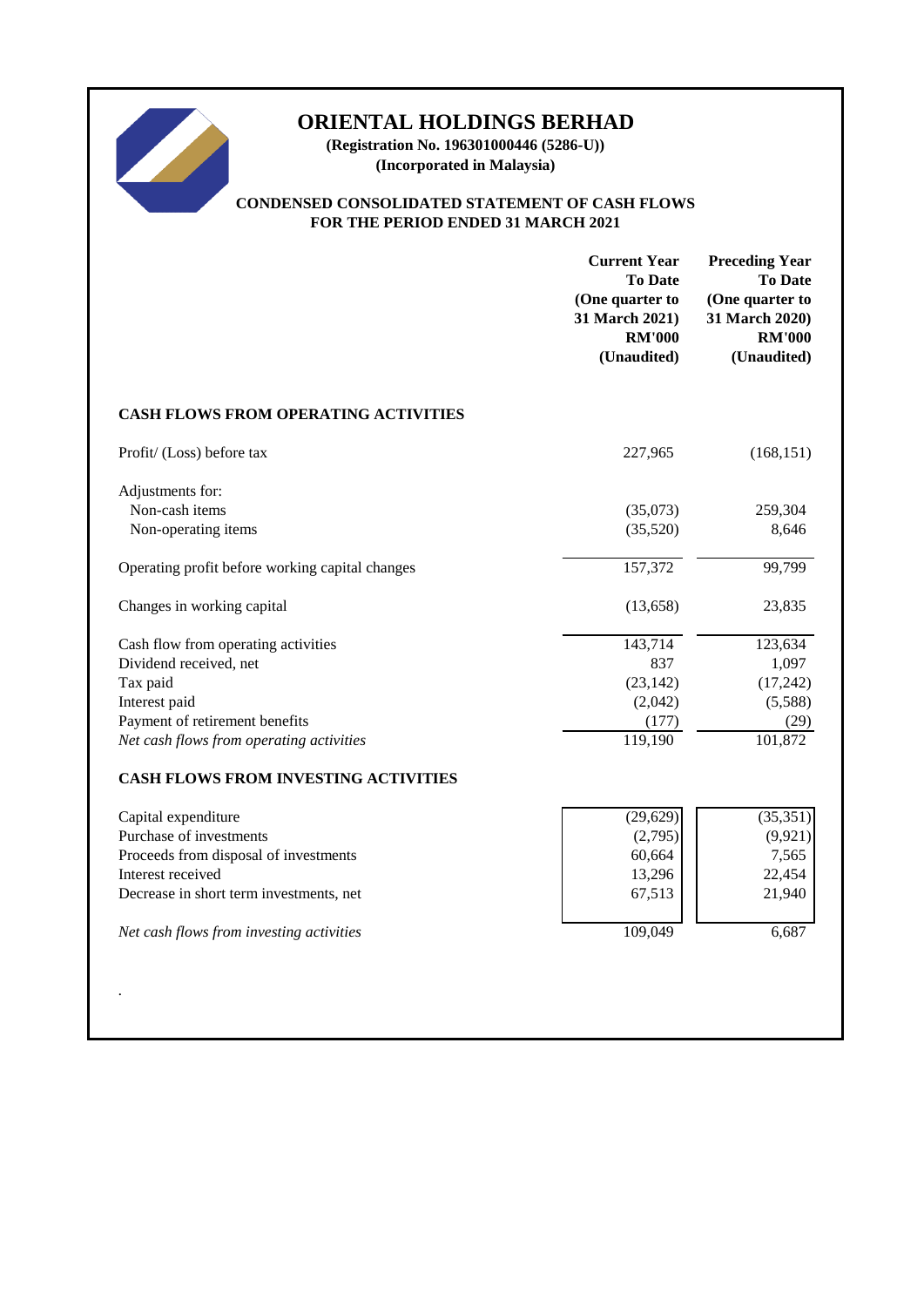

**(Registration No. 196301000446 (5286-U)) (Incorporated in Malaysia)**

## **CONDENSED CONSOLIDATED STATEMENT OF CASH FLOWS FOR THE PERIOD ENDED 31 MARCH 2021**

|                                                 | <b>Current Year</b><br><b>To Date</b><br>(One quarter to<br>31 March 2021)<br><b>RM'000</b><br>(Unaudited) | <b>Preceding Year</b><br><b>To Date</b><br>(One quarter to<br>31 March 2020)<br><b>RM'000</b><br>(Unaudited) |
|-------------------------------------------------|------------------------------------------------------------------------------------------------------------|--------------------------------------------------------------------------------------------------------------|
| <b>CASH FLOWS FROM OPERATING ACTIVITIES</b>     |                                                                                                            |                                                                                                              |
| Profit/ (Loss) before tax                       | 227,965                                                                                                    | (168, 151)                                                                                                   |
| Adjustments for:                                |                                                                                                            |                                                                                                              |
| Non-cash items                                  | (35,073)                                                                                                   | 259,304                                                                                                      |
| Non-operating items                             | (35,520)                                                                                                   | 8,646                                                                                                        |
| Operating profit before working capital changes | 157,372                                                                                                    | 99,799                                                                                                       |
| Changes in working capital                      | (13, 658)                                                                                                  | 23,835                                                                                                       |
| Cash flow from operating activities             | 143,714                                                                                                    | 123,634                                                                                                      |
| Dividend received, net                          | 837                                                                                                        | 1,097                                                                                                        |
| Tax paid                                        | (23, 142)                                                                                                  | (17, 242)                                                                                                    |
| Interest paid                                   | (2,042)                                                                                                    | (5,588)                                                                                                      |
| Payment of retirement benefits                  | (177)                                                                                                      | (29)                                                                                                         |
| Net cash flows from operating activities        | $\overline{119,}190$                                                                                       | 101,872                                                                                                      |
| CASH FLOWS FROM INVESTING ACTIVITIES            |                                                                                                            |                                                                                                              |
| Capital expenditure                             | (29, 629)                                                                                                  | (35, 351)                                                                                                    |
| Purchase of investments                         | (2,795)                                                                                                    | (9, 921)                                                                                                     |
| Proceeds from disposal of investments           | 60,664                                                                                                     | 7,565                                                                                                        |
| Interest received                               | 13,296                                                                                                     | 22,454                                                                                                       |
| Decrease in short term investments, net         | 67,513                                                                                                     | 21,940                                                                                                       |
| Net cash flows from investing activities        | 109,049                                                                                                    | 6,687                                                                                                        |
|                                                 |                                                                                                            |                                                                                                              |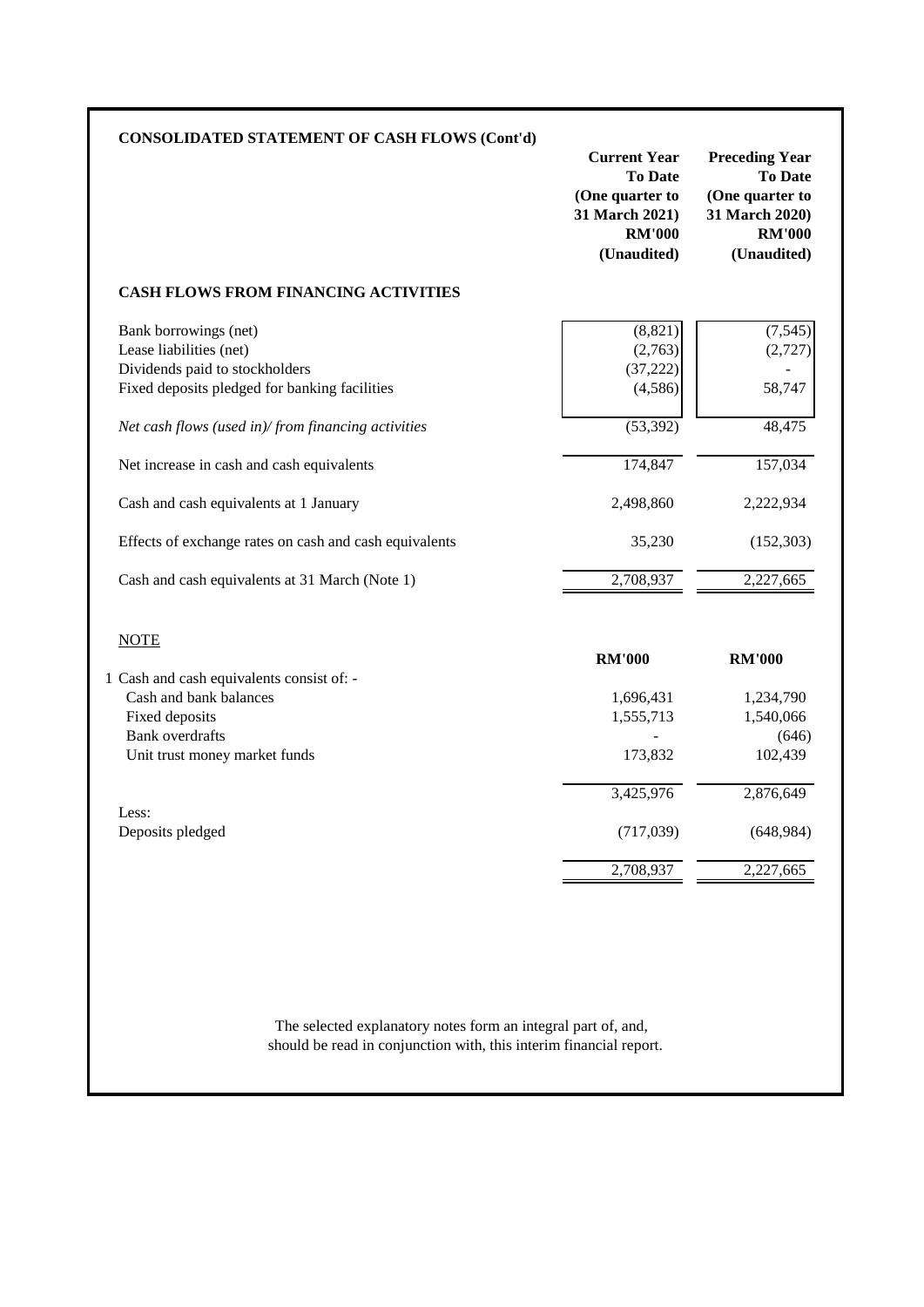| <b>CONSOLIDATED STATEMENT OF CASH FLOWS (Cont'd)</b>   | <b>Current Year</b><br><b>To Date</b><br>(One quarter to<br>31 March 2021)<br><b>RM'000</b><br>(Unaudited) | <b>Preceding Year</b><br><b>To Date</b><br>(One quarter to<br>31 March 2020)<br><b>RM'000</b><br>(Unaudited) |
|--------------------------------------------------------|------------------------------------------------------------------------------------------------------------|--------------------------------------------------------------------------------------------------------------|
| <b>CASH FLOWS FROM FINANCING ACTIVITIES</b>            |                                                                                                            |                                                                                                              |
| Bank borrowings (net)                                  | (8, 821)                                                                                                   | (7, 545)                                                                                                     |
| Lease liabilities (net)                                | (2,763)                                                                                                    | (2,727)                                                                                                      |
| Dividends paid to stockholders                         | (37, 222)                                                                                                  |                                                                                                              |
| Fixed deposits pledged for banking facilities          | (4,586)                                                                                                    | 58,747                                                                                                       |
| Net cash flows (used in)/from financing activities     | (53, 392)                                                                                                  | 48,475                                                                                                       |
| Net increase in cash and cash equivalents              | 174,847                                                                                                    | 157,034                                                                                                      |
| Cash and cash equivalents at 1 January                 | 2,498,860                                                                                                  | 2,222,934                                                                                                    |
| Effects of exchange rates on cash and cash equivalents | 35,230                                                                                                     | (152, 303)                                                                                                   |
| Cash and cash equivalents at 31 March (Note 1)         | 2,708,937                                                                                                  | 2,227,665                                                                                                    |
| <b>NOTE</b>                                            |                                                                                                            |                                                                                                              |
|                                                        | <b>RM'000</b>                                                                                              | <b>RM'000</b>                                                                                                |
| 1 Cash and cash equivalents consist of: -              |                                                                                                            |                                                                                                              |
| Cash and bank balances                                 | 1,696,431                                                                                                  | 1,234,790                                                                                                    |
| Fixed deposits                                         | 1,555,713                                                                                                  | 1,540,066                                                                                                    |
| <b>Bank</b> overdrafts                                 |                                                                                                            | (646)                                                                                                        |
| Unit trust money market funds                          | 173,832                                                                                                    | 102,439                                                                                                      |
|                                                        | 3,425,976                                                                                                  | 2,876,649                                                                                                    |
| Less:                                                  |                                                                                                            |                                                                                                              |
| Deposits pledged                                       | (717,039)                                                                                                  | (648,984)                                                                                                    |

should be read in conjunction with, this interim financial report. The selected explanatory notes form an integral part of, and,

2,708,937 2,227,665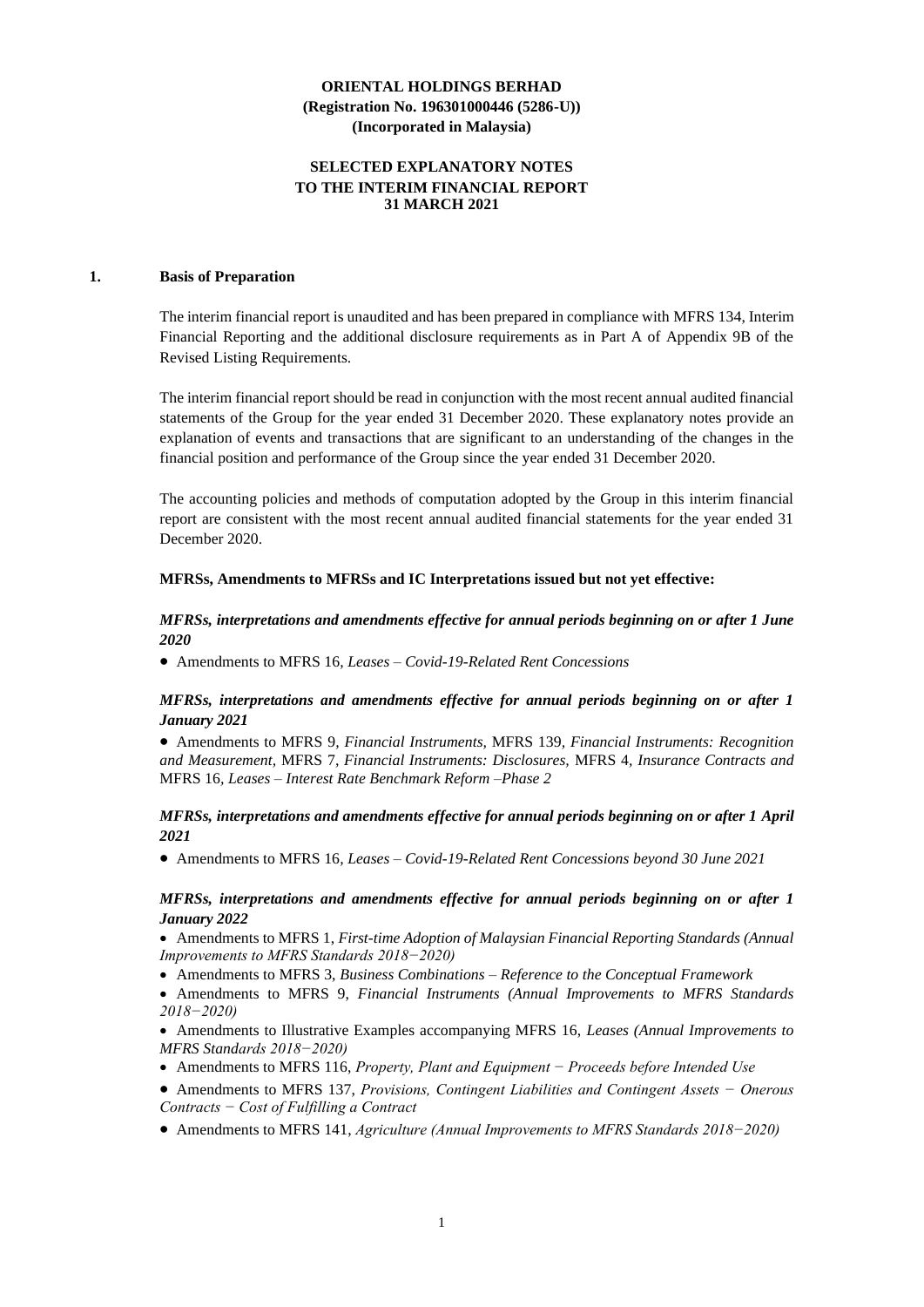## **SELECTED EXPLANATORY NOTES TO THE INTERIM FINANCIAL REPORT 31 MARCH 2021**

#### **1. Basis of Preparation**

The interim financial report is unaudited and has been prepared in compliance with MFRS 134, Interim Financial Reporting and the additional disclosure requirements as in Part A of Appendix 9B of the Revised Listing Requirements.

The interim financial report should be read in conjunction with the most recent annual audited financial statements of the Group for the year ended 31 December 2020. These explanatory notes provide an explanation of events and transactions that are significant to an understanding of the changes in the financial position and performance of the Group since the year ended 31 December 2020.

The accounting policies and methods of computation adopted by the Group in this interim financial report are consistent with the most recent annual audited financial statements for the year ended 31 December 2020.

#### **MFRSs, Amendments to MFRSs and IC Interpretations issued but not yet effective:**

## *MFRSs, interpretations and amendments effective for annual periods beginning on or after 1 June 2020*

• Amendments to MFRS 16*, Leases – Covid-19-Related Rent Concessions*

### *MFRSs, interpretations and amendments effective for annual periods beginning on or after 1 January 2021*

• Amendments to MFRS 9*, Financial Instruments,* MFRS 139*, Financial Instruments: Recognition and Measurement,* MFRS 7*, Financial Instruments: Disclosures,* MFRS 4*, Insurance Contracts and*  MFRS 16*, Leases – Interest Rate Benchmark Reform –Phase 2*

### *MFRSs, interpretations and amendments effective for annual periods beginning on or after 1 April 2021*

• Amendments to MFRS 16*, Leases – Covid-19-Related Rent Concessions beyond 30 June 2021*

### *MFRSs, interpretations and amendments effective for annual periods beginning on or after 1 January 2022*

• Amendments to MFRS 1, *First-time Adoption of Malaysian Financial Reporting Standards (Annual Improvements to MFRS Standards 2018−2020)*

- Amendments to MFRS 3, *Business Combinations – Reference to the Conceptual Framework*
- Amendments to MFRS 9, *Financial Instruments (Annual Improvements to MFRS Standards 2018−2020)*
- Amendments to Illustrative Examples accompanying MFRS 16, *Leases (Annual Improvements to MFRS Standards 2018−2020)*
- Amendments to MFRS 116, *Property, Plant and Equipment − Proceeds before Intended Use*
- Amendments to MFRS 137, *Provisions, Contingent Liabilities and Contingent Assets − Onerous Contracts − Cost of Fulfilling a Contract*
- Amendments to MFRS 141, *Agriculture (Annual Improvements to MFRS Standards 2018−2020)*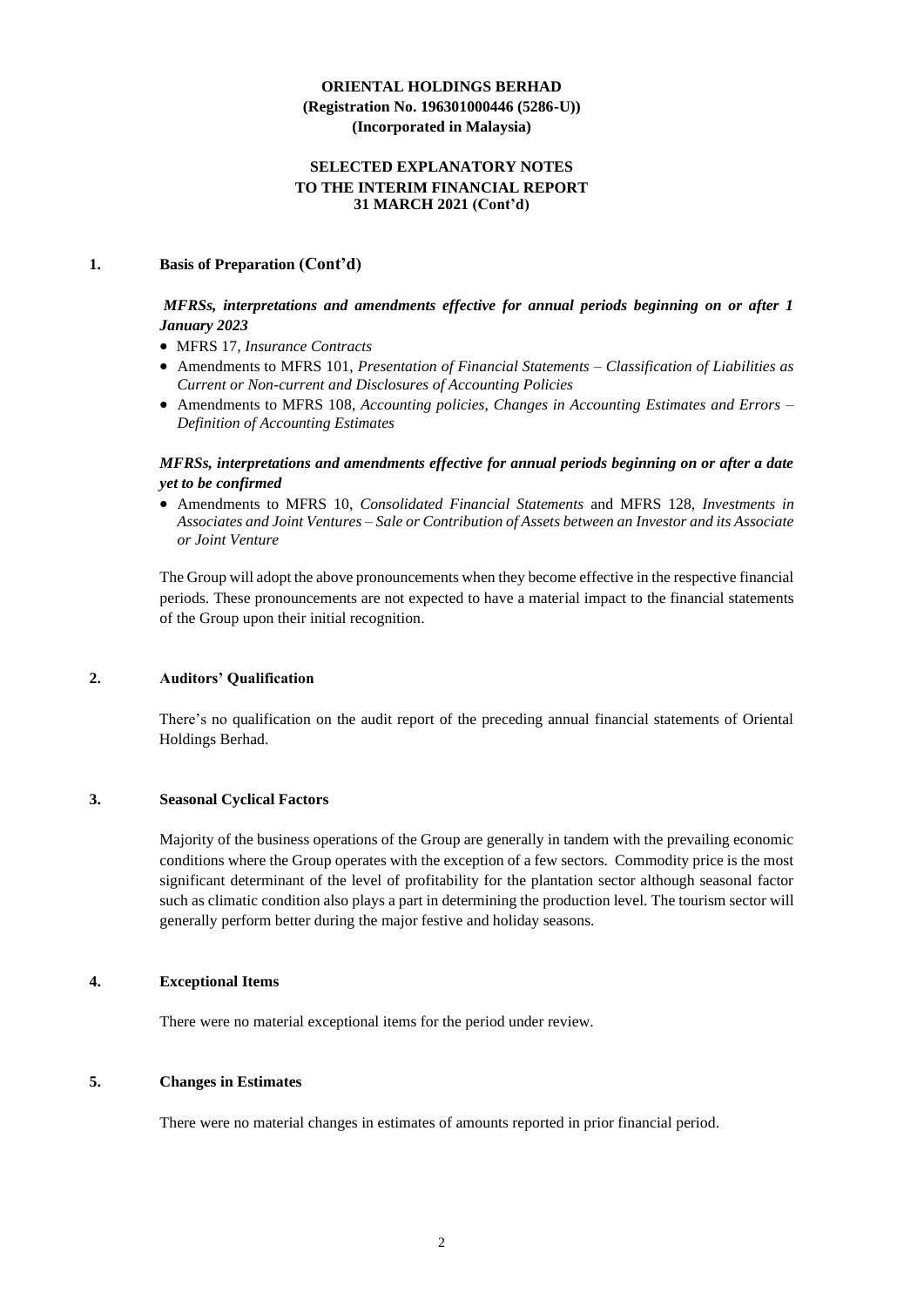## **SELECTED EXPLANATORY NOTES TO THE INTERIM FINANCIAL REPORT 31 MARCH 2021 (Cont'd)**

### **1. Basis of Preparation (Cont'd)**

## *MFRSs, interpretations and amendments effective for annual periods beginning on or after 1 January 2023*

- MFRS 17, *Insurance Contracts*
- Amendments to MFRS 101, *Presentation of Financial Statements – Classification of Liabilities as Current or Non-current and Disclosures of Accounting Policies*
- Amendments to MFRS 108, *Accounting policies, Changes in Accounting Estimates and Errors – Definition of Accounting Estimates*

## *MFRSs, interpretations and amendments effective for annual periods beginning on or after a date yet to be confirmed*

• Amendments to MFRS 10, *Consolidated Financial Statements* and MFRS 128, *Investments in Associates and Joint Ventures – Sale or Contribution of Assets between an Investor and its Associate or Joint Venture*

The Group will adopt the above pronouncements when they become effective in the respective financial periods. These pronouncements are not expected to have a material impact to the financial statements of the Group upon their initial recognition.

### **2. Auditors' Qualification**

There's no qualification on the audit report of the preceding annual financial statements of Oriental Holdings Berhad.

### **3. Seasonal Cyclical Factors**

Majority of the business operations of the Group are generally in tandem with the prevailing economic conditions where the Group operates with the exception of a few sectors. Commodity price is the most significant determinant of the level of profitability for the plantation sector although seasonal factor such as climatic condition also plays a part in determining the production level. The tourism sector will generally perform better during the major festive and holiday seasons.

#### **4. Exceptional Items**

There were no material exceptional items for the period under review.

#### **5. Changes in Estimates**

There were no material changes in estimates of amounts reported in prior financial period.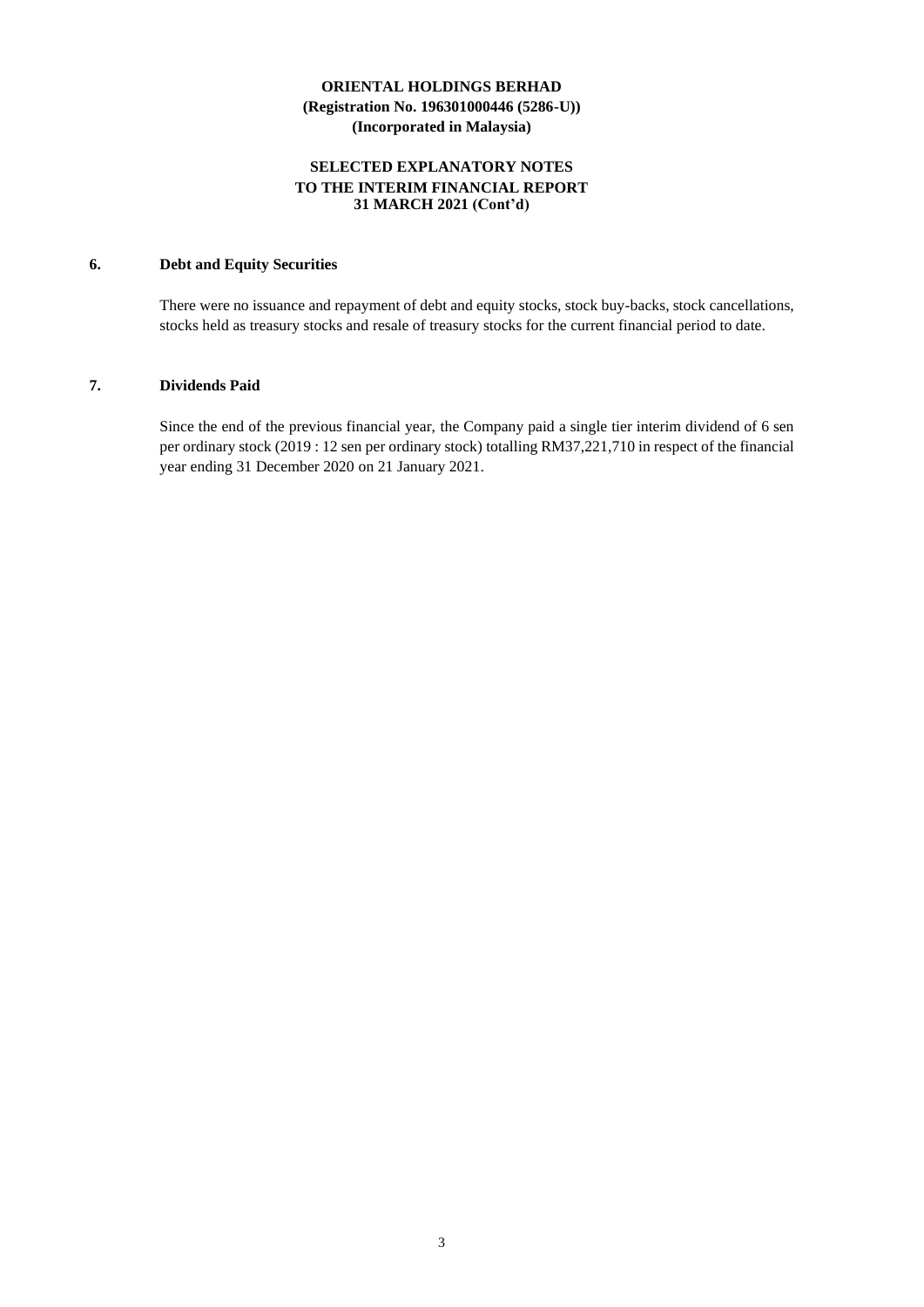## **SELECTED EXPLANATORY NOTES TO THE INTERIM FINANCIAL REPORT 31 MARCH 2021 (Cont'd)**

## **6. Debt and Equity Securities**

There were no issuance and repayment of debt and equity stocks, stock buy-backs, stock cancellations, stocks held as treasury stocks and resale of treasury stocks for the current financial period to date.

## **7. Dividends Paid**

Since the end of the previous financial year, the Company paid a single tier interim dividend of 6 sen per ordinary stock (2019 : 12 sen per ordinary stock) totalling RM37,221,710 in respect of the financial year ending 31 December 2020 on 21 January 2021.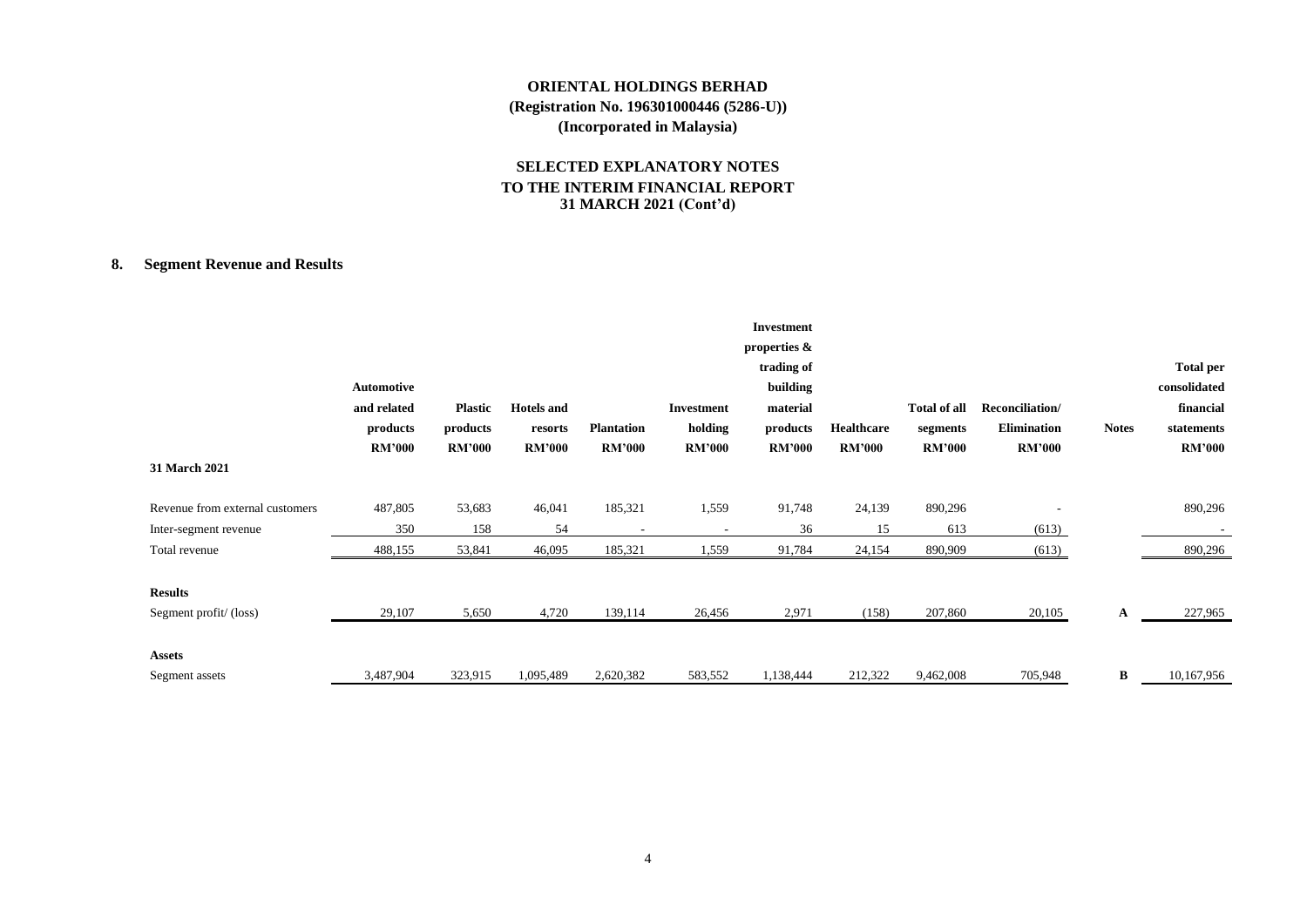## **SELECTED EXPLANATORY NOTES TO THE INTERIM FINANCIAL REPORT 31 MARCH 2021 (Cont'd)**

## **8. Segment Revenue and Results**

| 31 March 2021                   | Automotive<br>and related<br>products<br><b>RM'000</b> | <b>Plastic</b><br>products<br><b>RM'000</b> | <b>Hotels</b> and<br>resorts<br><b>RM'000</b> | <b>Plantation</b><br><b>RM'000</b> | <b>Investment</b><br>holding<br><b>RM'000</b> | <b>Investment</b><br>properties &<br>trading of<br>building<br>material<br>products<br><b>RM'000</b> | Healthcare<br><b>RM'000</b> | Total of all<br>segments<br><b>RM'000</b> | Reconciliation/<br><b>Elimination</b><br><b>RM'000</b> | <b>Notes</b> | <b>Total per</b><br>consolidated<br>financial<br>statements<br><b>RM'000</b> |
|---------------------------------|--------------------------------------------------------|---------------------------------------------|-----------------------------------------------|------------------------------------|-----------------------------------------------|------------------------------------------------------------------------------------------------------|-----------------------------|-------------------------------------------|--------------------------------------------------------|--------------|------------------------------------------------------------------------------|
| Revenue from external customers | 487,805                                                | 53,683                                      | 46,041                                        | 185,321                            | 1,559                                         | 91,748                                                                                               | 24,139                      | 890,296                                   |                                                        |              | 890,296                                                                      |
| Inter-segment revenue           | 350                                                    | 158                                         | 54                                            | $\overline{\phantom{a}}$           | $\overline{\phantom{a}}$                      | 36                                                                                                   | 15                          | 613                                       | (613)                                                  |              |                                                                              |
| Total revenue                   | 488,155                                                | 53,841                                      | 46,095                                        | 185,321                            | 1,559                                         | 91,784                                                                                               | 24,154                      | 890,909                                   | (613)                                                  |              | 890,296                                                                      |
| <b>Results</b>                  |                                                        |                                             |                                               |                                    |                                               |                                                                                                      |                             |                                           |                                                        |              |                                                                              |
| Segment profit/(loss)           | 29,107                                                 | 5,650                                       | 4,720                                         | 139,114                            | 26,456                                        | 2,971                                                                                                | (158)                       | 207,860                                   | 20,105                                                 | A            | 227,965                                                                      |
| <b>Assets</b>                   |                                                        |                                             |                                               |                                    |                                               |                                                                                                      |                             |                                           |                                                        |              |                                                                              |
| Segment assets                  | 3,487,904                                              | 323,915                                     | 1,095,489                                     | 2,620,382                          | 583,552                                       | 1,138,444                                                                                            | 212,322                     | 9,462,008                                 | 705,948                                                | B            | 10,167,956                                                                   |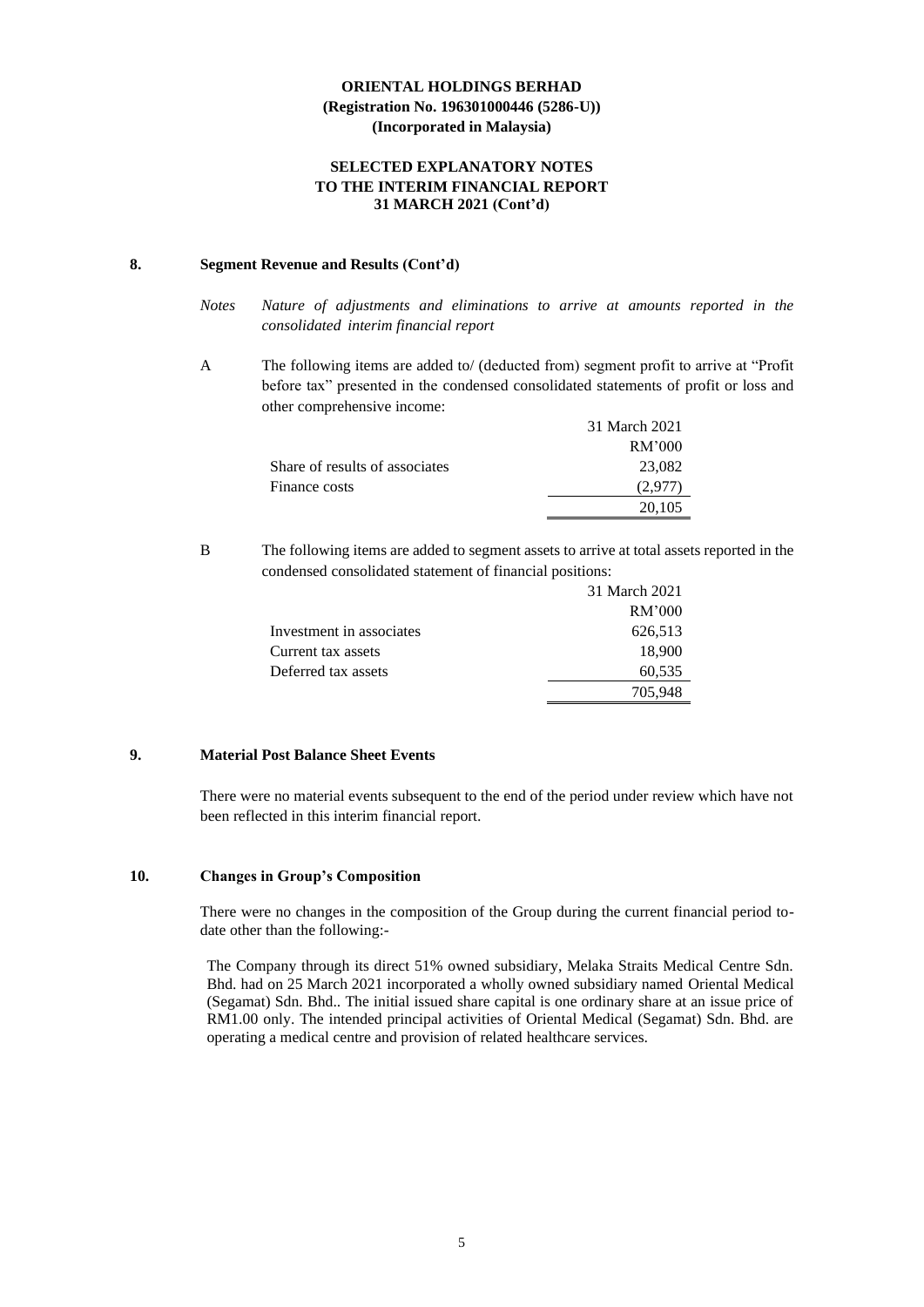## **SELECTED EXPLANATORY NOTES TO THE INTERIM FINANCIAL REPORT 31 MARCH 2021 (Cont'd)**

#### **8. Segment Revenue and Results (Cont'd)**

- *Notes Nature of adjustments and eliminations to arrive at amounts reported in the consolidated interim financial report*
- A The following items are added to/ (deducted from) segment profit to arrive at "Profit before tax" presented in the condensed consolidated statements of profit or loss and other comprehensive income:

|                                | 31 March 2021 |
|--------------------------------|---------------|
|                                | RM'000        |
| Share of results of associates | 23,082        |
| Finance costs                  |               |
|                                | 20.105        |

B The following items are added to segment assets to arrive at total assets reported in the condensed consolidated statement of financial positions:

|                          | 31 March 2021 |
|--------------------------|---------------|
|                          | RM'000        |
| Investment in associates | 626,513       |
| Current tax assets       | 18,900        |
| Deferred tax assets      | 60,535        |
|                          | 705,948       |

## **9. Material Post Balance Sheet Events**

There were no material events subsequent to the end of the period under review which have not been reflected in this interim financial report.

## **10. Changes in Group's Composition**

There were no changes in the composition of the Group during the current financial period todate other than the following:-

The Company through its direct 51% owned subsidiary, Melaka Straits Medical Centre Sdn. Bhd. had on 25 March 2021 incorporated a wholly owned subsidiary named Oriental Medical (Segamat) Sdn. Bhd.. The initial issued share capital is one ordinary share at an issue price of RM1.00 only. The intended principal activities of Oriental Medical (Segamat) Sdn. Bhd. are operating a medical centre and provision of related healthcare services.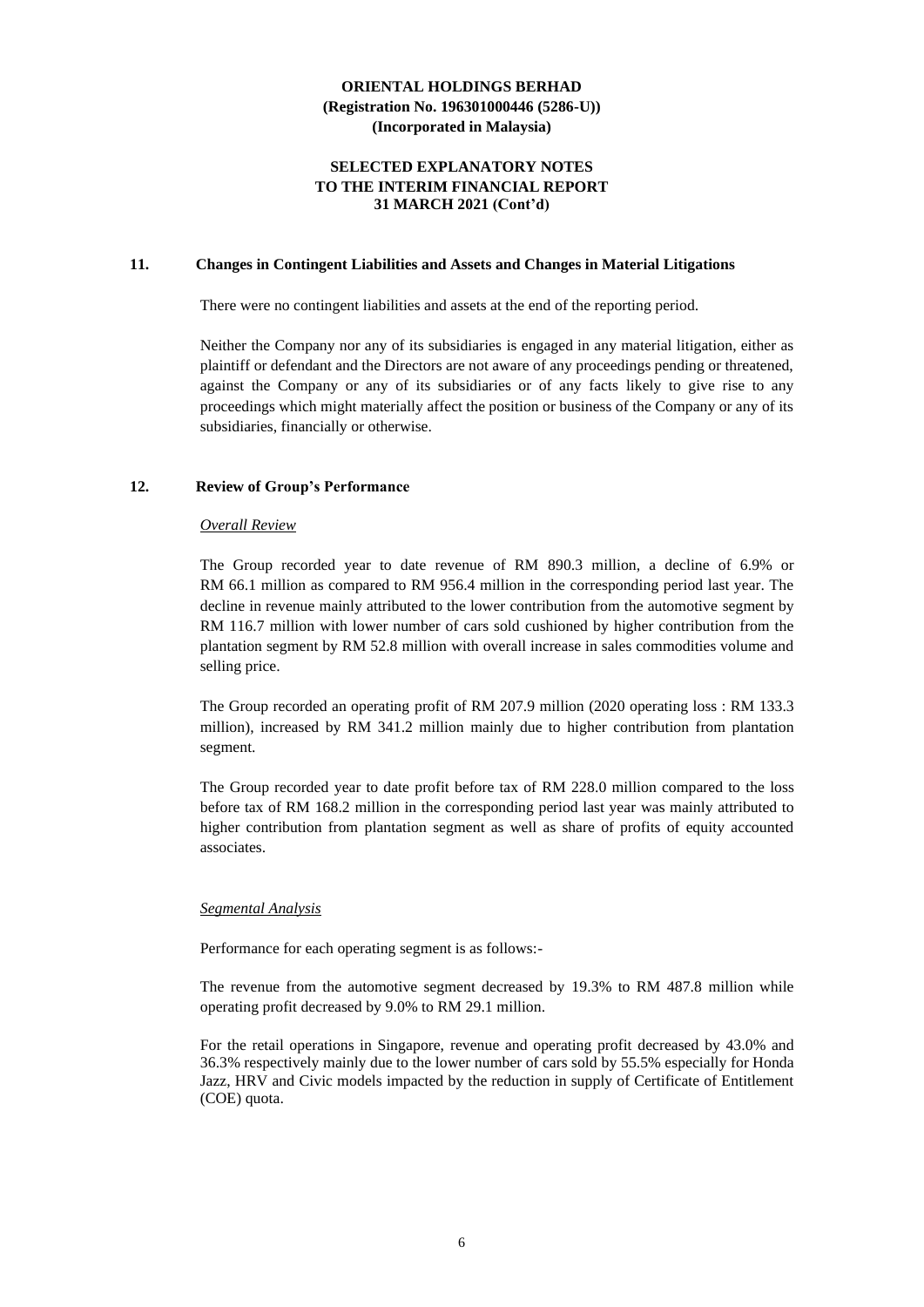### **SELECTED EXPLANATORY NOTES TO THE INTERIM FINANCIAL REPORT 31 MARCH 2021 (Cont'd)**

#### **11. Changes in Contingent Liabilities and Assets and Changes in Material Litigations**

There were no contingent liabilities and assets at the end of the reporting period.

Neither the Company nor any of its subsidiaries is engaged in any material litigation, either as plaintiff or defendant and the Directors are not aware of any proceedings pending or threatened, against the Company or any of its subsidiaries or of any facts likely to give rise to any proceedings which might materially affect the position or business of the Company or any of its subsidiaries, financially or otherwise.

#### **12. Review of Group's Performance**

#### *Overall Review*

The Group recorded year to date revenue of RM 890.3 million, a decline of 6.9% or RM 66.1 million as compared to RM 956.4 million in the corresponding period last year. The decline in revenue mainly attributed to the lower contribution from the automotive segment by RM 116.7 million with lower number of cars sold cushioned by higher contribution from the plantation segment by RM 52.8 million with overall increase in sales commodities volume and selling price.

The Group recorded an operating profit of RM 207.9 million (2020 operating loss : RM 133.3 million), increased by RM 341.2 million mainly due to higher contribution from plantation segment.

The Group recorded year to date profit before tax of RM 228.0 million compared to the loss before tax of RM 168.2 million in the corresponding period last year was mainly attributed to higher contribution from plantation segment as well as share of profits of equity accounted associates.

#### *Segmental Analysis*

Performance for each operating segment is as follows:-

The revenue from the automotive segment decreased by 19.3% to RM 487.8 million while operating profit decreased by 9.0% to RM 29.1 million.

For the retail operations in Singapore, revenue and operating profit decreased by 43.0% and 36.3% respectively mainly due to the lower number of cars sold by 55.5% especially for Honda Jazz, HRV and Civic models impacted by the reduction in supply of Certificate of Entitlement (COE) quota.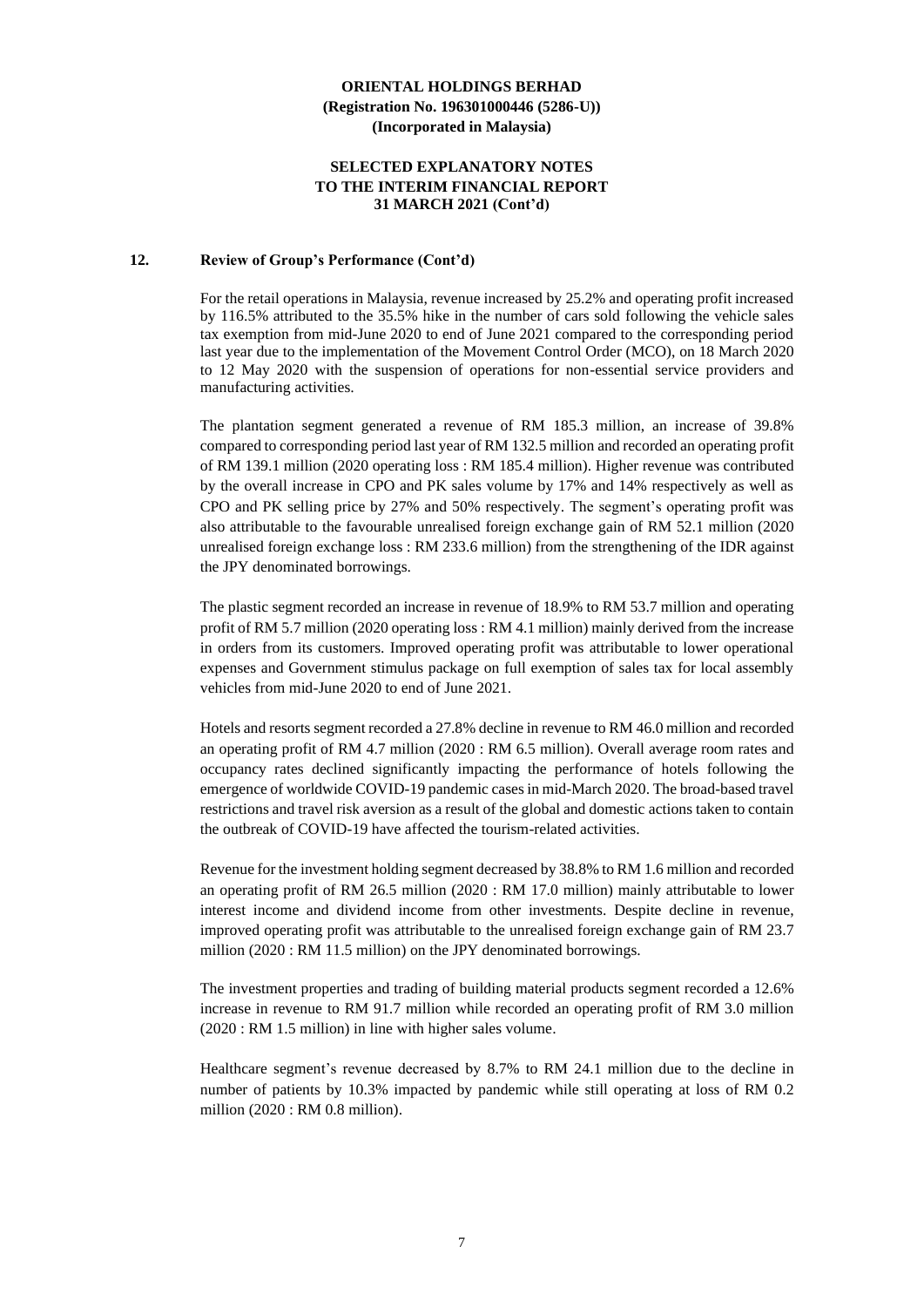### **SELECTED EXPLANATORY NOTES TO THE INTERIM FINANCIAL REPORT 31 MARCH 2021 (Cont'd)**

#### **12. Review of Group's Performance (Cont'd)**

For the retail operations in Malaysia, revenue increased by 25.2% and operating profit increased by 116.5% attributed to the 35.5% hike in the number of cars sold following the vehicle sales tax exemption from mid-June 2020 to end of June 2021 compared to the corresponding period last year due to the implementation of the Movement Control Order (MCO), on 18 March 2020 to 12 May 2020 with the suspension of operations for non-essential service providers and manufacturing activities.

The plantation segment generated a revenue of RM 185.3 million, an increase of 39.8% compared to corresponding period last year of RM 132.5 million and recorded an operating profit of RM 139.1 million (2020 operating loss : RM 185.4 million). Higher revenue was contributed by the overall increase in CPO and PK sales volume by 17% and 14% respectively as well as CPO and PK selling price by 27% and 50% respectively. The segment's operating profit was also attributable to the favourable unrealised foreign exchange gain of RM 52.1 million (2020 unrealised foreign exchange loss : RM 233.6 million) from the strengthening of the IDR against the JPY denominated borrowings.

The plastic segment recorded an increase in revenue of 18.9% to RM 53.7 million and operating profit of RM 5.7 million (2020 operating loss : RM 4.1 million) mainly derived from the increase in orders from its customers. Improved operating profit was attributable to lower operational expenses and Government stimulus package on full exemption of sales tax for local assembly vehicles from mid-June 2020 to end of June 2021.

Hotels and resorts segment recorded a 27.8% decline in revenue to RM 46.0 million and recorded an operating profit of RM 4.7 million (2020 : RM 6.5 million). Overall average room rates and occupancy rates declined significantly impacting the performance of hotels following the emergence of worldwide COVID-19 pandemic cases in mid-March 2020. The broad-based travel restrictions and travel risk aversion as a result of the global and domestic actions taken to contain the outbreak of COVID-19 have affected the tourism-related activities.

Revenue for the investment holding segment decreased by 38.8% to RM 1.6 million and recorded an operating profit of RM 26.5 million (2020 : RM 17.0 million) mainly attributable to lower interest income and dividend income from other investments. Despite decline in revenue, improved operating profit was attributable to the unrealised foreign exchange gain of RM 23.7 million (2020 : RM 11.5 million) on the JPY denominated borrowings.

The investment properties and trading of building material products segment recorded a 12.6% increase in revenue to RM 91.7 million while recorded an operating profit of RM 3.0 million (2020 : RM 1.5 million) in line with higher sales volume.

Healthcare segment's revenue decreased by 8.7% to RM 24.1 million due to the decline in number of patients by 10.3% impacted by pandemic while still operating at loss of RM 0.2 million (2020 : RM 0.8 million).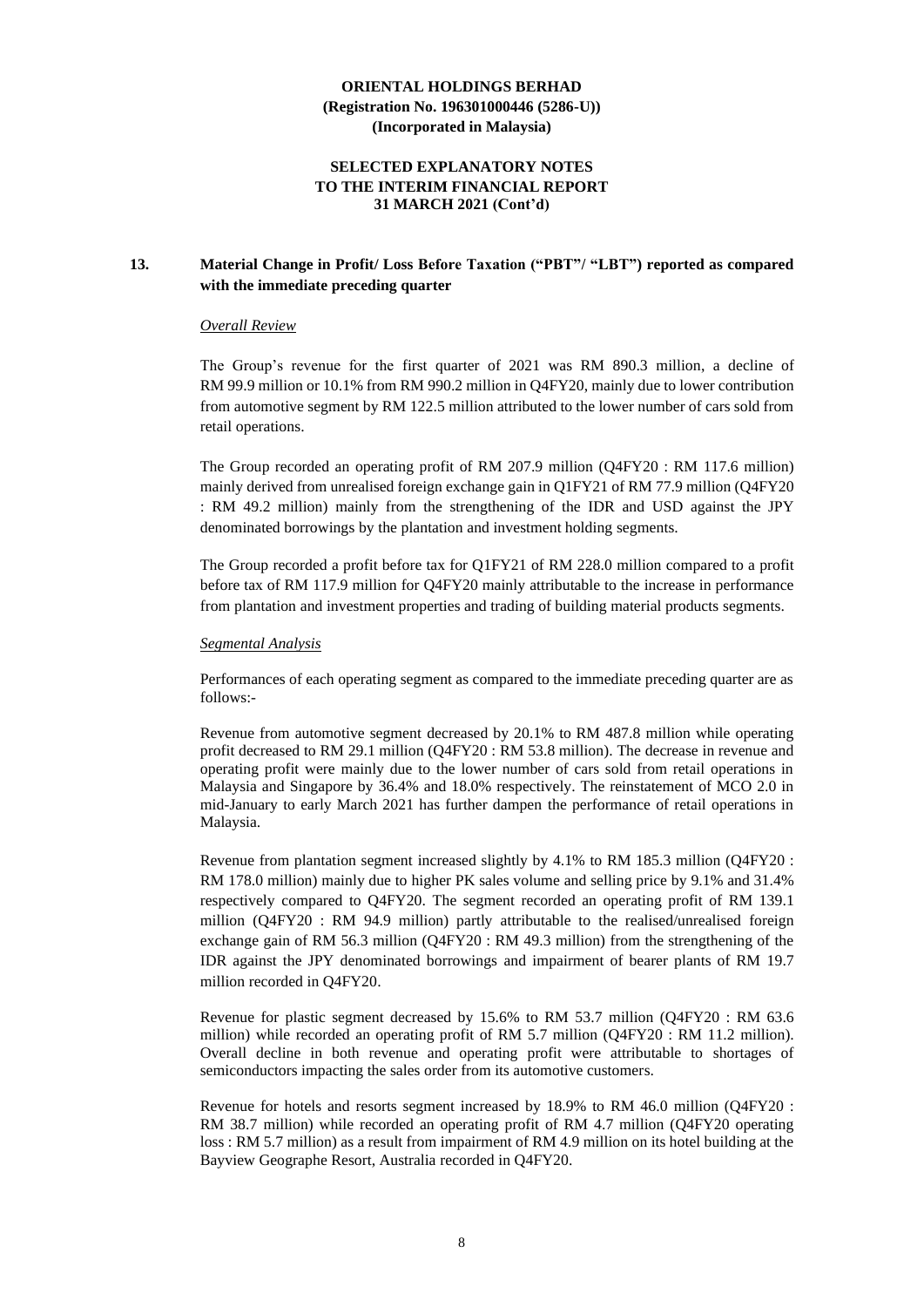## **SELECTED EXPLANATORY NOTES TO THE INTERIM FINANCIAL REPORT 31 MARCH 2021 (Cont'd)**

## **13. Material Change in Profit/ Loss Before Taxation ("PBT"/ "LBT") reported as compared with the immediate preceding quarter**

#### *Overall Review*

The Group's revenue for the first quarter of 2021 was RM 890.3 million, a decline of RM 99.9 million or 10.1% from RM 990.2 million in Q4FY20, mainly due to lower contribution from automotive segment by RM 122.5 million attributed to the lower number of cars sold from retail operations.

The Group recorded an operating profit of RM 207.9 million (Q4FY20 : RM 117.6 million) mainly derived from unrealised foreign exchange gain in Q1FY21 of RM 77.9 million (Q4FY20 : RM 49.2 million) mainly from the strengthening of the IDR and USD against the JPY denominated borrowings by the plantation and investment holding segments.

The Group recorded a profit before tax for Q1FY21 of RM 228.0 million compared to a profit before tax of RM 117.9 million for Q4FY20 mainly attributable to the increase in performance from plantation and investment properties and trading of building material products segments.

#### *Segmental Analysis*

Performances of each operating segment as compared to the immediate preceding quarter are as follows:-

Revenue from automotive segment decreased by 20.1% to RM 487.8 million while operating profit decreased to RM 29.1 million (Q4FY20 : RM 53.8 million). The decrease in revenue and operating profit were mainly due to the lower number of cars sold from retail operations in Malaysia and Singapore by 36.4% and 18.0% respectively. The reinstatement of MCO 2.0 in mid-January to early March 2021 has further dampen the performance of retail operations in Malaysia.

Revenue from plantation segment increased slightly by 4.1% to RM 185.3 million (Q4FY20 : RM 178.0 million) mainly due to higher PK sales volume and selling price by 9.1% and 31.4% respectively compared to Q4FY20. The segment recorded an operating profit of RM 139.1 million (Q4FY20 : RM 94.9 million) partly attributable to the realised/unrealised foreign exchange gain of RM 56.3 million (Q4FY20 : RM 49.3 million) from the strengthening of the IDR against the JPY denominated borrowings and impairment of bearer plants of RM 19.7 million recorded in Q4FY20.

Revenue for plastic segment decreased by 15.6% to RM 53.7 million (Q4FY20 : RM 63.6 million) while recorded an operating profit of RM 5.7 million (Q4FY20 : RM 11.2 million). Overall decline in both revenue and operating profit were attributable to shortages of semiconductors impacting the sales order from its automotive customers.

Revenue for hotels and resorts segment increased by 18.9% to RM 46.0 million (Q4FY20 : RM 38.7 million) while recorded an operating profit of RM 4.7 million (Q4FY20 operating loss : RM 5.7 million) as a result from impairment of RM 4.9 million on its hotel building at the Bayview Geographe Resort, Australia recorded in Q4FY20.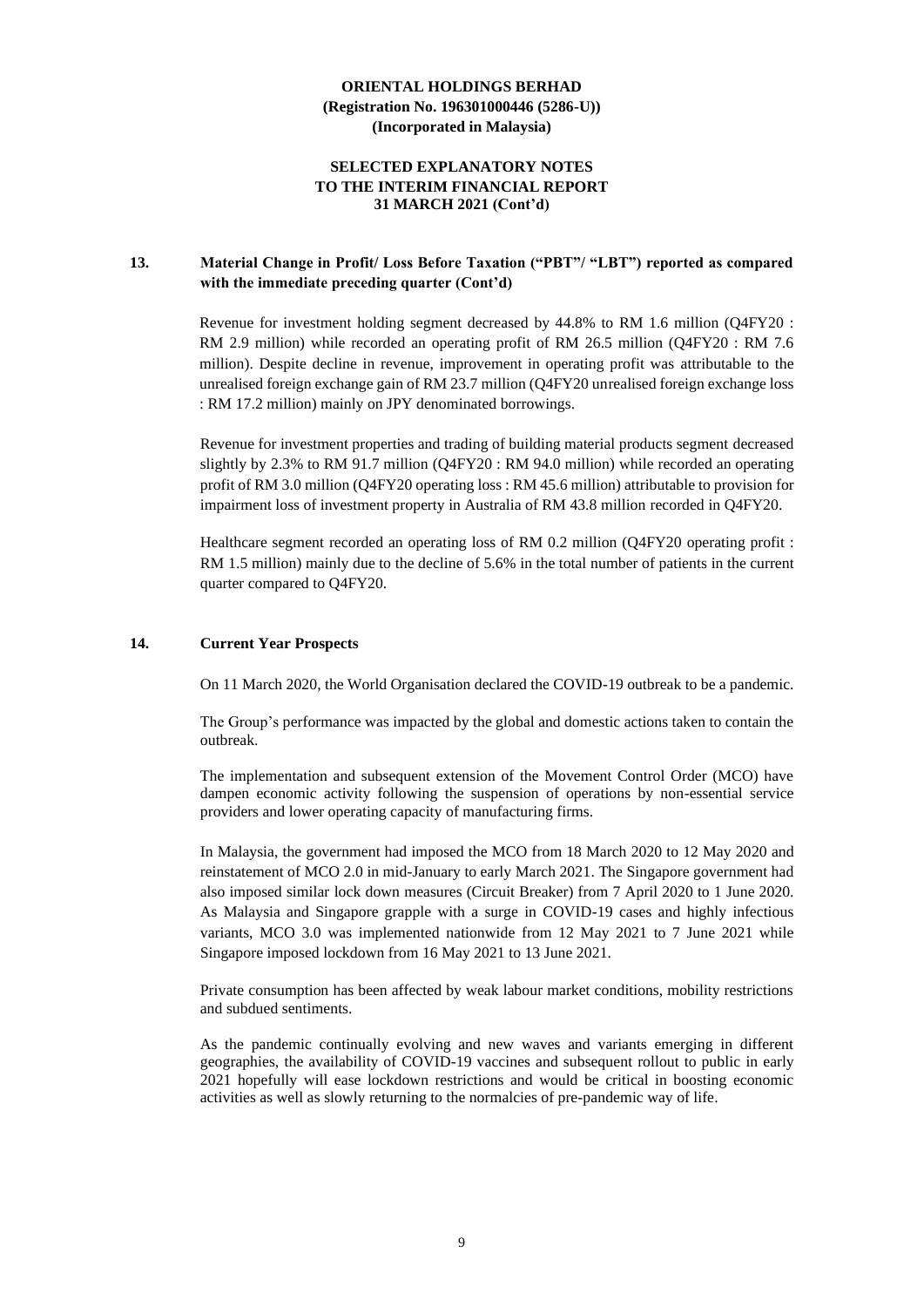## **SELECTED EXPLANATORY NOTES TO THE INTERIM FINANCIAL REPORT 31 MARCH 2021 (Cont'd)**

## **13. Material Change in Profit/ Loss Before Taxation ("PBT"/ "LBT") reported as compared with the immediate preceding quarter (Cont'd)**

Revenue for investment holding segment decreased by 44.8% to RM 1.6 million (Q4FY20 : RM 2.9 million) while recorded an operating profit of RM 26.5 million (Q4FY20 : RM 7.6 million). Despite decline in revenue, improvement in operating profit was attributable to the unrealised foreign exchange gain of RM 23.7 million (Q4FY20 unrealised foreign exchange loss : RM 17.2 million) mainly on JPY denominated borrowings.

Revenue for investment properties and trading of building material products segment decreased slightly by 2.3% to RM 91.7 million (Q4FY20 : RM 94.0 million) while recorded an operating profit of RM 3.0 million (Q4FY20 operating loss : RM 45.6 million) attributable to provision for impairment loss of investment property in Australia of RM 43.8 million recorded in Q4FY20.

Healthcare segment recorded an operating loss of RM 0.2 million (Q4FY20 operating profit : RM 1.5 million) mainly due to the decline of 5.6% in the total number of patients in the current quarter compared to Q4FY20.

## **14. Current Year Prospects**

On 11 March 2020, the World Organisation declared the COVID-19 outbreak to be a pandemic.

The Group's performance was impacted by the global and domestic actions taken to contain the outbreak.

The implementation and subsequent extension of the Movement Control Order (MCO) have dampen economic activity following the suspension of operations by non-essential service providers and lower operating capacity of manufacturing firms.

In Malaysia, the government had imposed the MCO from 18 March 2020 to 12 May 2020 and reinstatement of MCO 2.0 in mid-January to early March 2021. The Singapore government had also imposed similar lock down measures (Circuit Breaker) from 7 April 2020 to 1 June 2020. As Malaysia and Singapore grapple with a surge in COVID-19 cases and highly infectious variants, MCO 3.0 was implemented nationwide from 12 May 2021 to 7 June 2021 while Singapore imposed lockdown from 16 May 2021 to 13 June 2021.

Private consumption has been affected by weak labour market conditions, mobility restrictions and subdued sentiments.

As the pandemic continually evolving and new waves and variants emerging in different geographies, the availability of COVID-19 vaccines and subsequent rollout to public in early 2021 hopefully will ease lockdown restrictions and would be critical in boosting economic activities as well as slowly returning to the normalcies of pre-pandemic way of life.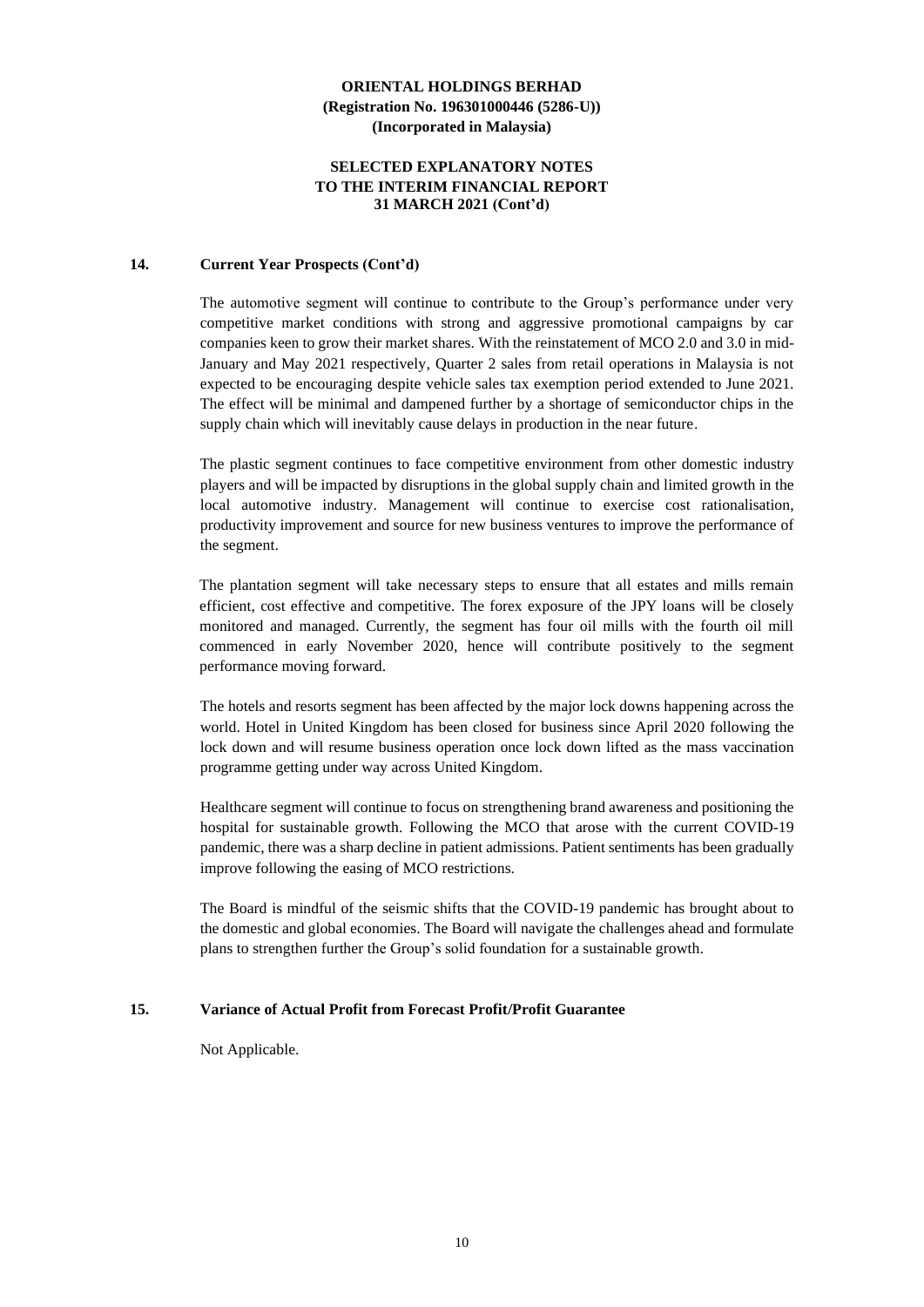## **SELECTED EXPLANATORY NOTES TO THE INTERIM FINANCIAL REPORT 31 MARCH 2021 (Cont'd)**

### **14. Current Year Prospects (Cont'd)**

The automotive segment will continue to contribute to the Group's performance under very competitive market conditions with strong and aggressive promotional campaigns by car companies keen to grow their market shares. With the reinstatement of MCO 2.0 and 3.0 in mid-January and May 2021 respectively, Quarter 2 sales from retail operations in Malaysia is not expected to be encouraging despite vehicle sales tax exemption period extended to June 2021. The effect will be minimal and dampened further by a shortage of semiconductor chips in the supply chain which will inevitably cause delays in production in the near future.

The plastic segment continues to face competitive environment from other domestic industry players and will be impacted by disruptions in the global supply chain and limited growth in the local automotive industry. Management will continue to exercise cost rationalisation, productivity improvement and source for new business ventures to improve the performance of the segment.

The plantation segment will take necessary steps to ensure that all estates and mills remain efficient, cost effective and competitive. The forex exposure of the JPY loans will be closely monitored and managed. Currently, the segment has four oil mills with the fourth oil mill commenced in early November 2020, hence will contribute positively to the segment performance moving forward.

The hotels and resorts segment has been affected by the major lock downs happening across the world. Hotel in United Kingdom has been closed for business since April 2020 following the lock down and will resume business operation once lock down lifted as the mass vaccination programme getting under way across United Kingdom.

Healthcare segment will continue to focus on strengthening brand awareness and positioning the hospital for sustainable growth. Following the MCO that arose with the current COVID-19 pandemic, there was a sharp decline in patient admissions. Patient sentiments has been gradually improve following the easing of MCO restrictions.

The Board is mindful of the seismic shifts that the COVID-19 pandemic has brought about to the domestic and global economies. The Board will navigate the challenges ahead and formulate plans to strengthen further the Group's solid foundation for a sustainable growth.

## **15. Variance of Actual Profit from Forecast Profit/Profit Guarantee**

Not Applicable.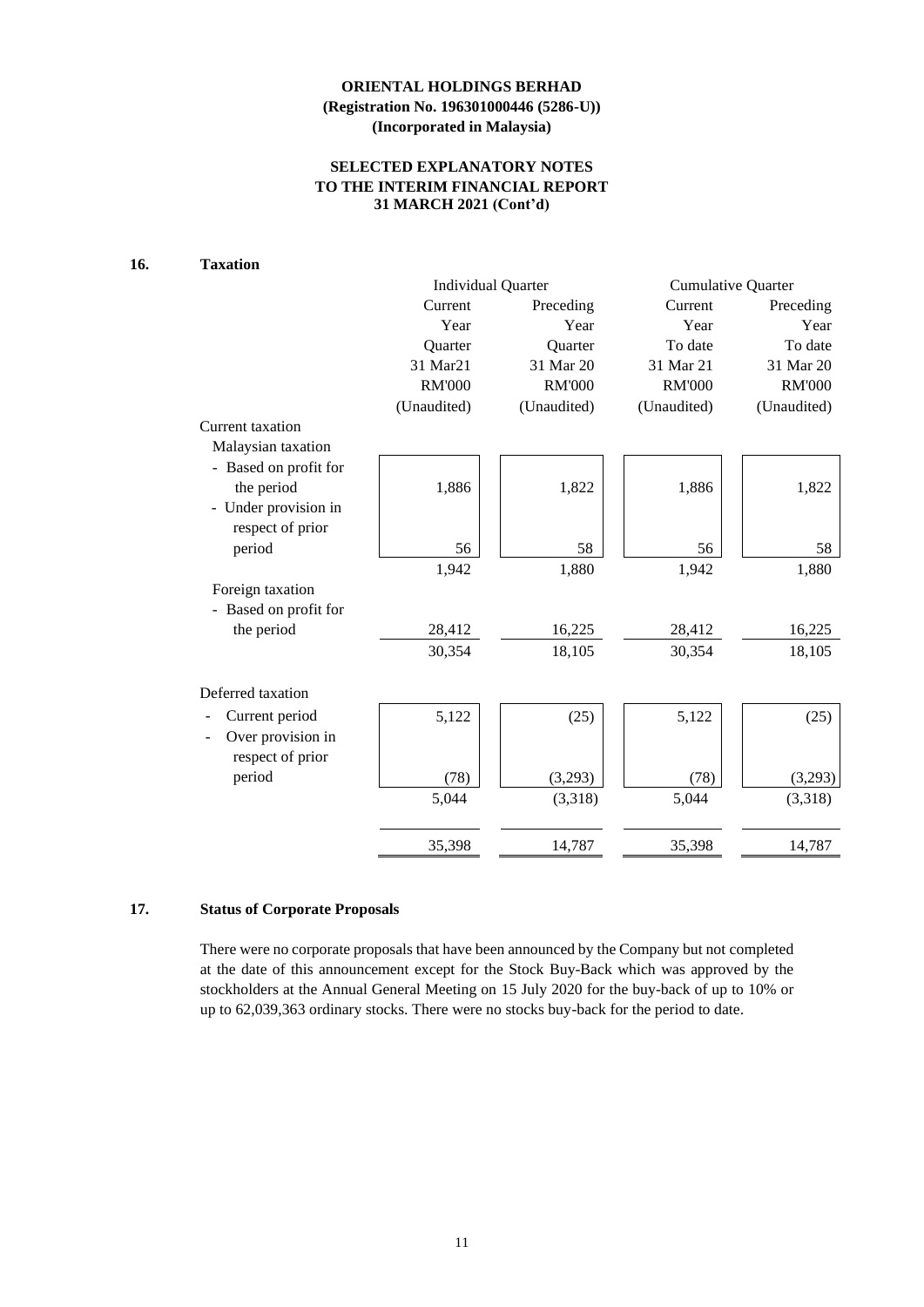## **SELECTED EXPLANATORY NOTES TO THE INTERIM FINANCIAL REPORT 31 MARCH 2021 (Cont'd)**

## **16. Taxation**

|                       |               | <b>Individual Quarter</b> | <b>Cumulative Quarter</b> |               |  |
|-----------------------|---------------|---------------------------|---------------------------|---------------|--|
|                       | Current       | Preceding                 | Current                   | Preceding     |  |
|                       | Year          | Year                      | Year                      | Year          |  |
|                       | Quarter       | Quarter                   | To date                   | To date       |  |
|                       | 31 Mar21      | 31 Mar 20                 | 31 Mar 21                 | 31 Mar 20     |  |
|                       | <b>RM'000</b> | <b>RM'000</b>             | <b>RM'000</b>             | <b>RM'000</b> |  |
|                       | (Unaudited)   | (Unaudited)               | (Unaudited)               | (Unaudited)   |  |
| Current taxation      |               |                           |                           |               |  |
| Malaysian taxation    |               |                           |                           |               |  |
| - Based on profit for |               |                           |                           |               |  |
| the period            | 1,886         | 1,822                     | 1,886                     | 1,822         |  |
| - Under provision in  |               |                           |                           |               |  |
| respect of prior      |               |                           |                           |               |  |
| period                | 56            | 58                        | 56                        | 58            |  |
|                       | 1,942         | 1,880                     | 1,942                     | 1,880         |  |
| Foreign taxation      |               |                           |                           |               |  |
| - Based on profit for |               |                           |                           |               |  |
| the period            | 28,412        | 16,225                    | 28,412                    | 16,225        |  |
|                       | 30,354        | 18,105                    | 30,354                    | 18,105        |  |
|                       |               |                           |                           |               |  |
| Deferred taxation     |               |                           |                           |               |  |
| Current period        | 5,122         | (25)                      | 5,122                     | (25)          |  |
| Over provision in     |               |                           |                           |               |  |
| respect of prior      |               |                           |                           |               |  |
| period                | (78)          | (3,293)                   | (78)                      | (3,293)       |  |
|                       | 5,044         | (3,318)                   | 5,044                     | (3,318)       |  |
|                       |               |                           |                           |               |  |
|                       | 35,398        | 14,787                    | 35,398                    | 14,787        |  |

## **17. Status of Corporate Proposals**

There were no corporate proposals that have been announced by the Company but not completed at the date of this announcement except for the Stock Buy-Back which was approved by the stockholders at the Annual General Meeting on 15 July 2020 for the buy-back of up to 10% or up to 62,039,363 ordinary stocks. There were no stocks buy-back for the period to date.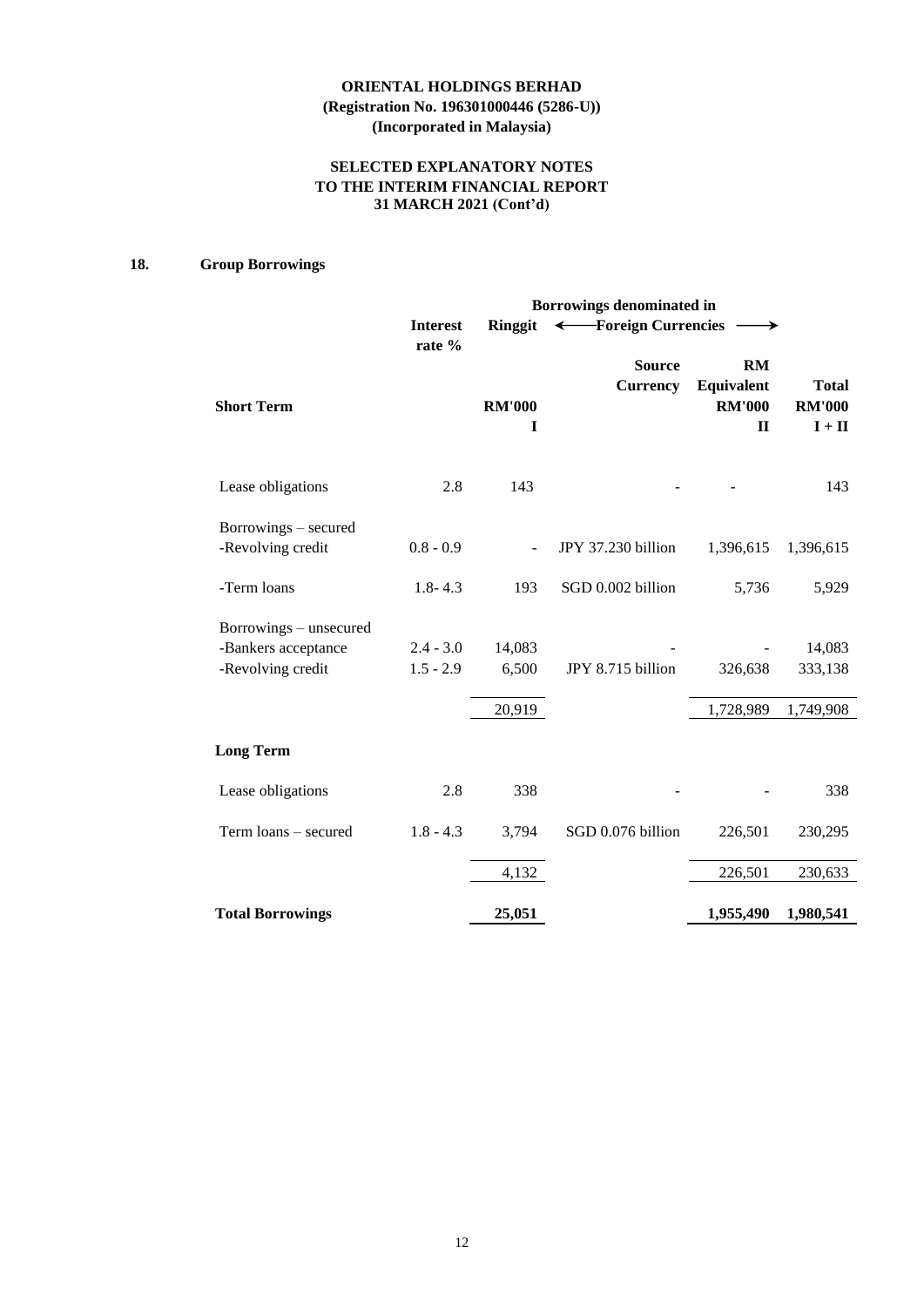## **SELECTED EXPLANATORY NOTES TO THE INTERIM FINANCIAL REPORT 31 MARCH 2021 (Cont'd)**

## **18. Group Borrowings**

|                                                                    | Borrowings denominated in  |                    |                                  |                                                          |                                                           |  |  |  |
|--------------------------------------------------------------------|----------------------------|--------------------|----------------------------------|----------------------------------------------------------|-----------------------------------------------------------|--|--|--|
|                                                                    | <b>Interest</b><br>rate %  | <b>Ringgit</b>     | ← Foreign Currencies             |                                                          |                                                           |  |  |  |
| <b>Short Term</b>                                                  |                            | <b>RM'000</b><br>1 | <b>Source</b><br><b>Currency</b> | <b>RM</b><br>Equivalent<br><b>RM'000</b><br>$\mathbf{I}$ | <b>Total</b><br><b>RM'000</b><br>$\mathbf{I}+\mathbf{II}$ |  |  |  |
| Lease obligations                                                  | 2.8                        | 143                |                                  |                                                          | 143                                                       |  |  |  |
| Borrowings – secured<br>-Revolving credit                          | $0.8 - 0.9$                |                    | JPY 37.230 billion               | 1,396,615                                                | 1,396,615                                                 |  |  |  |
| -Term loans                                                        | $1.8 - 4.3$                | 193                | SGD 0.002 billion                | 5,736                                                    | 5,929                                                     |  |  |  |
| Borrowings – unsecured<br>-Bankers acceptance<br>-Revolving credit | $2.4 - 3.0$<br>$1.5 - 2.9$ | 14,083<br>6,500    | JPY 8.715 billion                | 326,638                                                  | 14,083<br>333,138                                         |  |  |  |
|                                                                    |                            | 20,919             |                                  | 1,728,989                                                | 1,749,908                                                 |  |  |  |
| <b>Long Term</b>                                                   |                            |                    |                                  |                                                          |                                                           |  |  |  |
| Lease obligations                                                  | 2.8                        | 338                |                                  |                                                          | 338                                                       |  |  |  |
| Term loans - secured                                               | $1.8 - 4.3$                | 3,794              | SGD 0.076 billion                | 226,501                                                  | 230,295                                                   |  |  |  |
|                                                                    |                            | 4,132              |                                  | 226,501                                                  | 230,633                                                   |  |  |  |
| <b>Total Borrowings</b>                                            |                            | 25,051             |                                  | 1,955,490                                                | 1,980,541                                                 |  |  |  |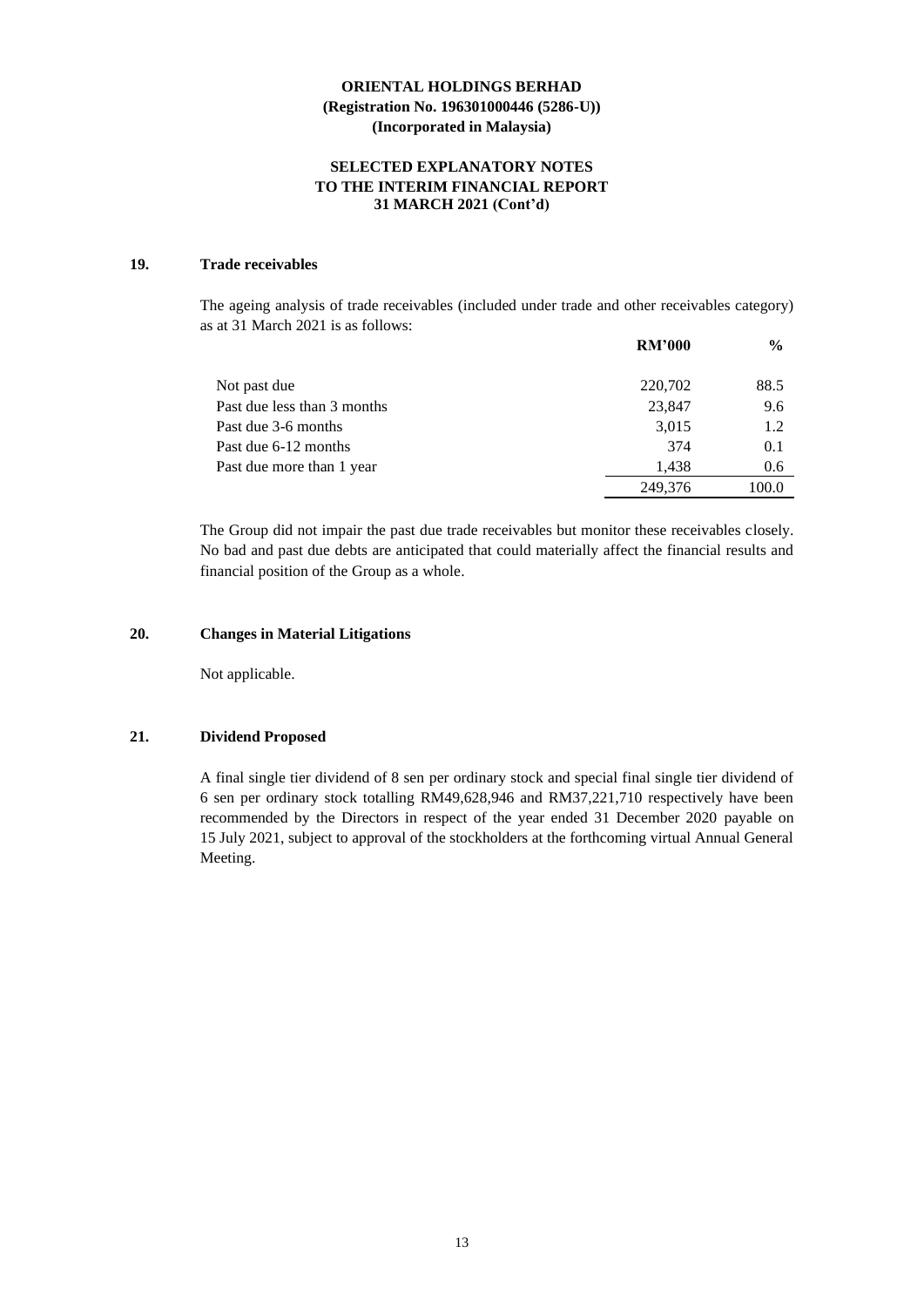### **SELECTED EXPLANATORY NOTES TO THE INTERIM FINANCIAL REPORT 31 MARCH 2021 (Cont'd)**

## **19. Trade receivables**

The ageing analysis of trade receivables (included under trade and other receivables category) as at 31 March 2021 is as follows:

|                             | <b>RM'000</b> | $\frac{6}{9}$ |
|-----------------------------|---------------|---------------|
| Not past due                | 220,702       | 88.5          |
| Past due less than 3 months | 23,847        | 9.6           |
| Past due 3-6 months         | 3,015         | 1.2           |
| Past due 6-12 months        | 374           | 0.1           |
| Past due more than 1 year   | 1.438         | 0.6           |
|                             | 249.376       | 100.0         |

The Group did not impair the past due trade receivables but monitor these receivables closely. No bad and past due debts are anticipated that could materially affect the financial results and financial position of the Group as a whole.

### **20. Changes in Material Litigations**

Not applicable.

### **21. Dividend Proposed**

A final single tier dividend of 8 sen per ordinary stock and special final single tier dividend of 6 sen per ordinary stock totalling RM49,628,946 and RM37,221,710 respectively have been recommended by the Directors in respect of the year ended 31 December 2020 payable on 15 July 2021, subject to approval of the stockholders at the forthcoming virtual Annual General Meeting.